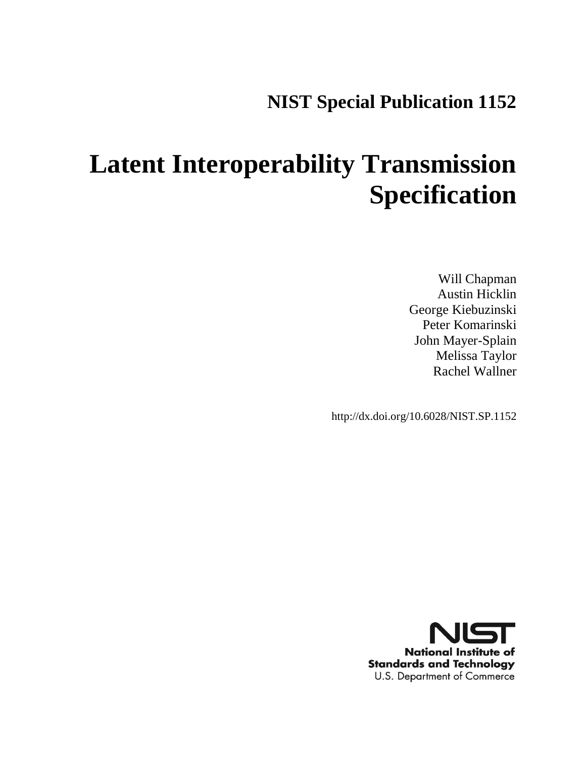## **NIST Special Publication 1152**

# **Latent Interoperability Transmission Specification**

Will Chapman Austin Hicklin George Kiebuzinski Peter Komarinski John Mayer-Splain Melissa Taylor Rachel Wallner

http://dx.doi.org/10.6028/NIST.SP.1152

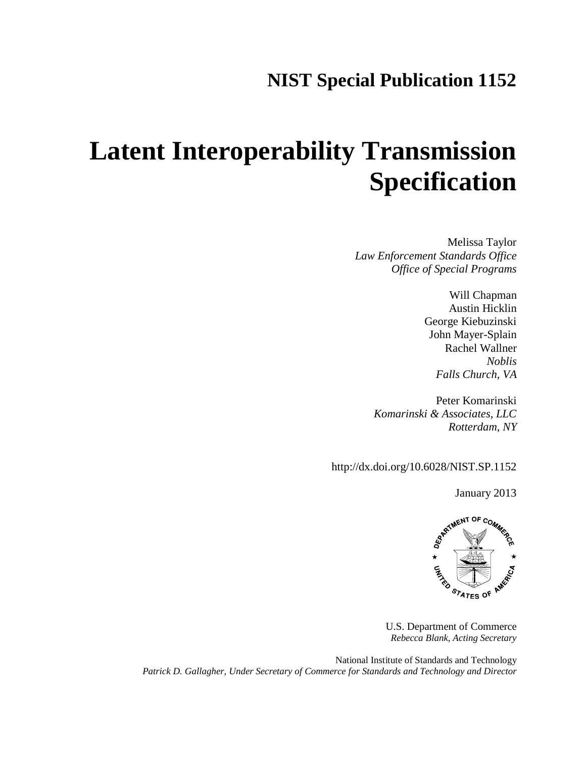## **NIST Special Publication 1152**

# **Latent Interoperability Transmission Specification**

Melissa Taylor *Law Enforcement Standards Office Office of Special Programs*

> Will Chapman Austin Hicklin George Kiebuzinski John Mayer-Splain Rachel Wallner *Noblis Falls Church, VA*

Peter Komarinski *Komarinski & Associates, LLC Rotterdam, NY*

http://dx.doi.org/10.6028/NIST.SP.1152

January 2013



U.S. Department of Commerce *Rebecca Blank, Acting Secretary*

National Institute of Standards and Technology *Patrick D. Gallagher, Under Secretary of Commerce for Standards and Technology and Director*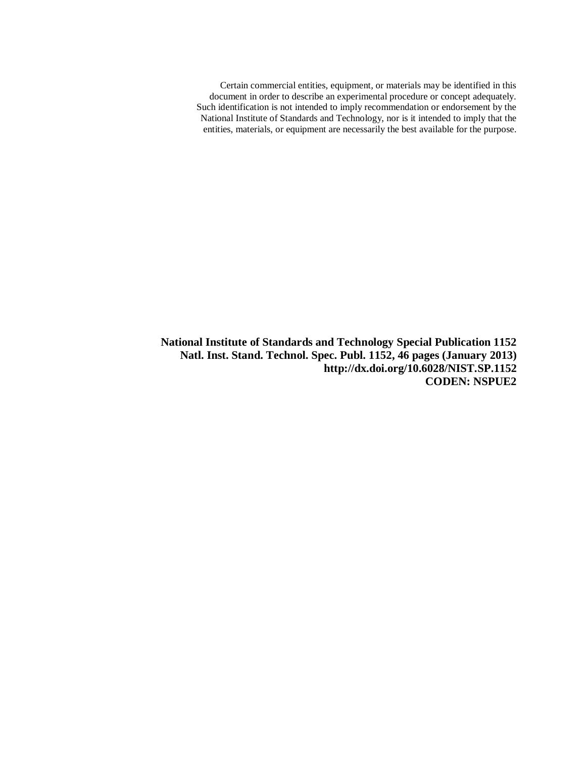Certain commercial entities, equipment, or materials may be identified in this document in order to describe an experimental procedure or concept adequately. Such identification is not intended to imply recommendation or endorsement by the National Institute of Standards and Technology, nor is it intended to imply that the entities, materials, or equipment are necessarily the best available for the purpose.

**National Institute of Standards and Technology Special Publication 1152 Natl. Inst. Stand. Technol. Spec. Publ. 1152, 46 pages (January 2013) http://dx.doi.org/10.6028/NIST.SP.1152 CODEN: NSPUE2**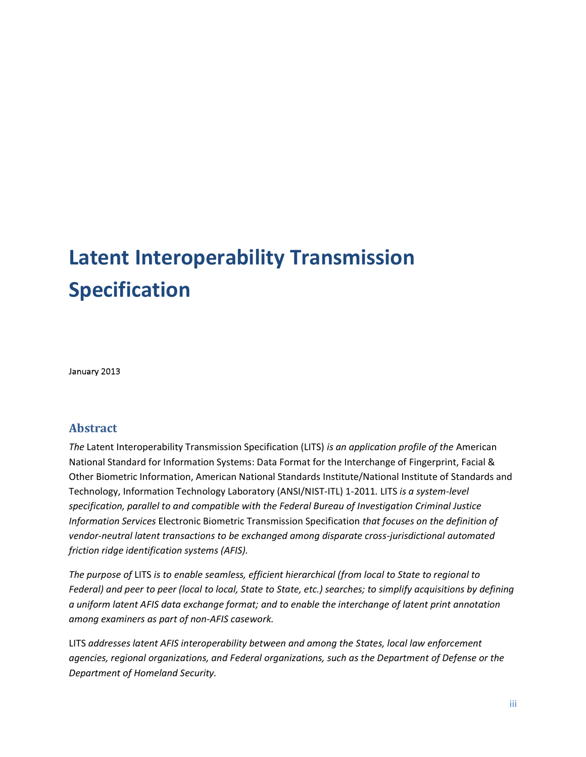## **Latent Interoperability Transmission Specification**

January 2013

#### **Abstract**

*The* Latent Interoperability Transmission Specification (LITS) *is an application profile of the* American National Standard for Information Systems: Data Format for the Interchange of Fingerprint, Facial & Other Biometric Information, American National Standards Institute/National Institute of Standards and Technology, Information Technology Laboratory (ANSI/NIST-ITL) 1-2011*.* LITS *is a system-level specification, parallel to and compatible with the Federal Bureau of Investigation Criminal Justice Information Services* Electronic Biometric Transmission Specification *that focuses on the definition of vendor-neutral latent transactions to be exchanged among disparate cross-jurisdictional automated friction ridge identification systems (AFIS).*

*The purpose of* LITS *is to enable seamless, efficient hierarchical (from local to State to regional to Federal) and peer to peer (local to local, State to State, etc.) searches; to simplify acquisitions by defining a uniform latent AFIS data exchange format; and to enable the interchange of latent print annotation among examiners as part of non-AFIS casework.*

LITS *addresses latent AFIS interoperability between and among the States, local law enforcement agencies, regional organizations, and Federal organizations, such as the Department of Defense or the Department of Homeland Security.*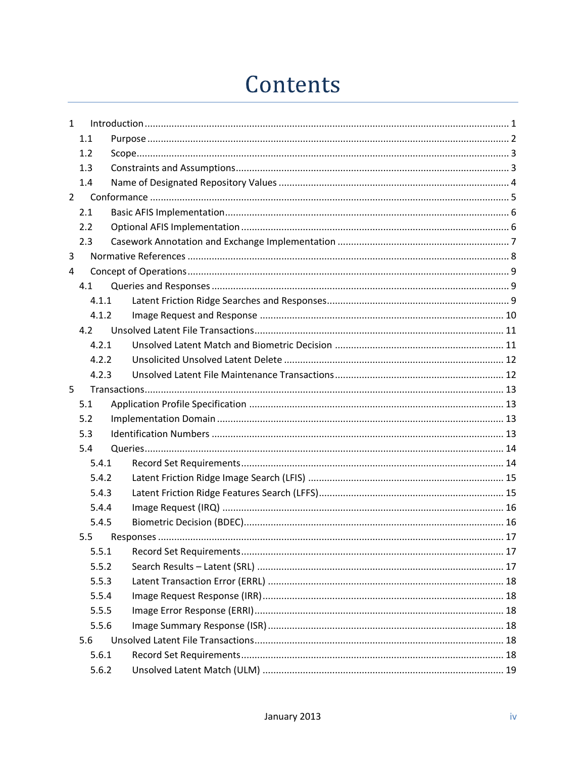## Contents

| $\mathbf{1}$ |       |  |
|--------------|-------|--|
|              | 1.1   |  |
|              | 1.2   |  |
|              | 1.3   |  |
|              | 1.4   |  |
| $2^{\circ}$  |       |  |
|              | 2.1   |  |
|              | 2.2   |  |
|              | 2.3   |  |
| 3            |       |  |
| 4            |       |  |
|              | 4.1   |  |
|              | 4.1.1 |  |
|              | 4.1.2 |  |
|              | 4.2   |  |
|              | 4.2.1 |  |
|              | 4.2.2 |  |
|              | 4.2.3 |  |
| 5            |       |  |
|              | 5.1   |  |
|              | 5.2   |  |
|              | 5.3   |  |
|              | 5.4   |  |
|              | 5.4.1 |  |
|              | 5.4.2 |  |
|              | 5.4.3 |  |
|              | 5.4.4 |  |
|              | 5.4.5 |  |
|              | 5.5   |  |
|              | 5.5.1 |  |
|              | 5.5.2 |  |
|              | 5.5.3 |  |
|              | 5.5.4 |  |
|              | 5.5.5 |  |
|              | 5.5.6 |  |
|              | 5.6   |  |
|              | 5.6.1 |  |
|              | 5.6.2 |  |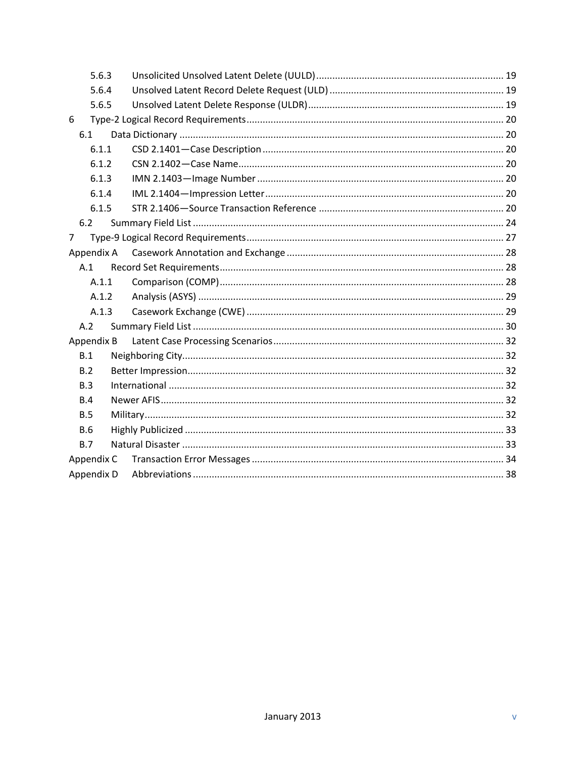| 5.6.3      |  |
|------------|--|
| 5.6.4      |  |
| 5.6.5      |  |
| 6          |  |
| 6.1        |  |
| 6.1.1      |  |
| 6.1.2      |  |
| 6.1.3      |  |
| 6.1.4      |  |
| 6.1.5      |  |
| 6.2        |  |
| 7          |  |
| Appendix A |  |
| A.1        |  |
| A.1.1      |  |
| A.1.2      |  |
| A.1.3      |  |
| A.2        |  |
| Appendix B |  |
| B.1        |  |
| B.2        |  |
| B.3        |  |
| B.4        |  |
| B.5        |  |
| B.6        |  |
| B.7        |  |
| Appendix C |  |
| Appendix D |  |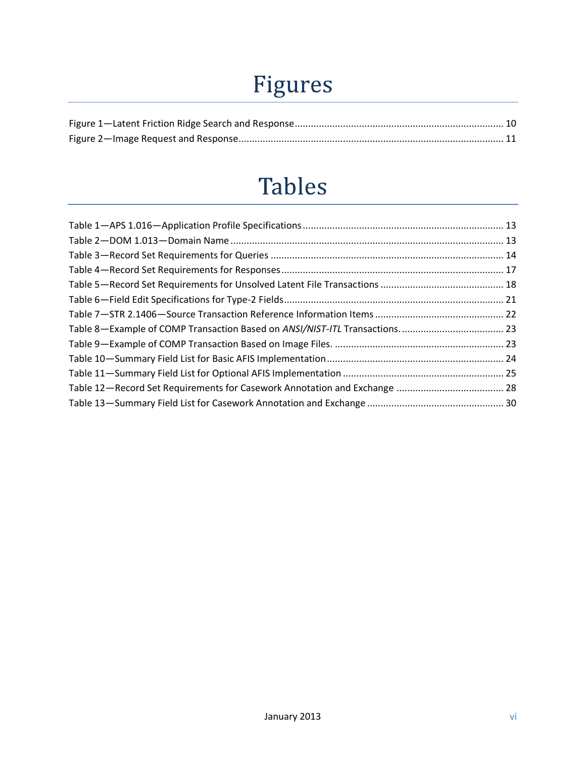# Figures

## **Tables**

| Table 8-Example of COMP Transaction Based on ANSI/NIST-ITL Transactions 23 |  |
|----------------------------------------------------------------------------|--|
|                                                                            |  |
|                                                                            |  |
|                                                                            |  |
|                                                                            |  |
|                                                                            |  |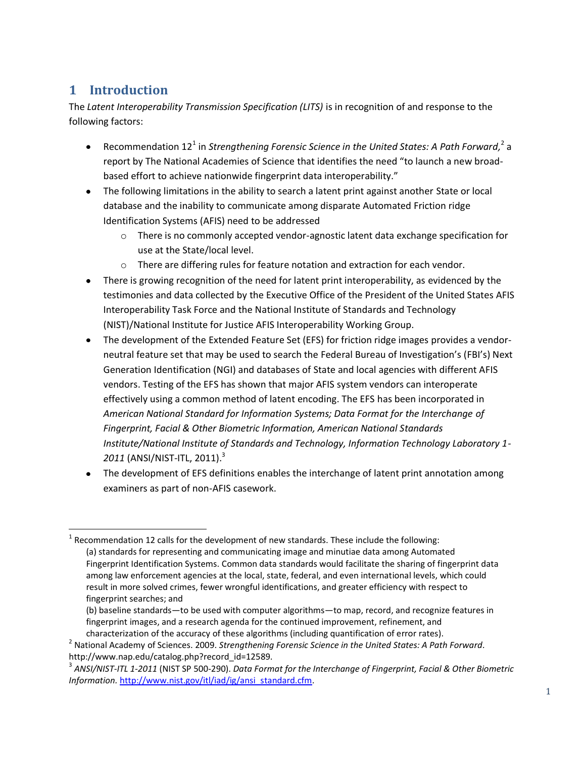### <span id="page-7-0"></span>**1 Introduction**

The *Latent Interoperability Transmission Specification (LITS)* is in recognition of and response to the following factors:

- Recommendation 12<sup>1</sup> in *Strengthening Forensic Science in the United States: A Path Forward,*<sup>2</sup> a  $\bullet$ report by The National Academies of Science that identifies the need "to launch a new broadbased effort to achieve nationwide fingerprint data interoperability."
- The following limitations in the ability to search a latent print against another State or local database and the inability to communicate among disparate Automated Friction ridge Identification Systems (AFIS) need to be addressed
	- $\circ$  There is no commonly accepted vendor-agnostic latent data exchange specification for use at the State/local level.
	- $\circ$  There are differing rules for feature notation and extraction for each vendor.
- There is growing recognition of the need for latent print interoperability, as evidenced by the  $\bullet$ testimonies and data collected by the Executive Office of the President of the United States AFIS Interoperability Task Force and the National Institute of Standards and Technology (NIST)/National Institute for Justice AFIS Interoperability Working Group.
- The development of the Extended Feature Set (EFS) for friction ridge images provides a vendorneutral feature set that may be used to search the Federal Bureau of Investigation's (FBI's) Next Generation Identification (NGI) and databases of State and local agencies with different AFIS vendors. Testing of the EFS has shown that major AFIS system vendors can interoperate effectively using a common method of latent encoding. The EFS has been incorporated in *American National Standard for Information Systems; Data Format for the Interchange of Fingerprint, Facial & Other Biometric Information, American National Standards Institute/National Institute of Standards and Technology, Information Technology Laboratory 1- 2011* (ANSI/NIST-ITL, 2011). 3
- The development of EFS definitions enables the interchange of latent print annotation among  $\bullet$ examiners as part of non-AFIS casework.

(b) baseline standards—to be used with computer algorithms—to map, record, and recognize features in fingerprint images, and a research agenda for the continued improvement, refinement, and characterization of the accuracy of these algorithms (including quantification of error rates).

 $\overline{a}$  $1$  Recommendation 12 calls for the development of new standards. These include the following: (a) standards for representing and communicating image and minutiae data among Automated Fingerprint Identification Systems. Common data standards would facilitate the sharing of fingerprint data among law enforcement agencies at the local, state, federal, and even international levels, which could result in more solved crimes, fewer wrongful identifications, and greater efficiency with respect to fingerprint searches; and

<sup>2</sup> National Academy of Sciences. 2009. *Strengthening Forensic Science in the United States: A Path Forward.*  http://www.nap.edu/catalog.php?record\_id=12589.

<sup>3</sup> *ANSI/NIST-ITL 1-2011* (NIST SP 500-290). *Data Format for the Interchange of Fingerprint, Facial & Other Biometric Information.* [http://www.nist.gov/itl/iad/ig/ansi\\_standard.cfm.](http://www.nist.gov/itl/iad/ig/ansi_standard.cfm)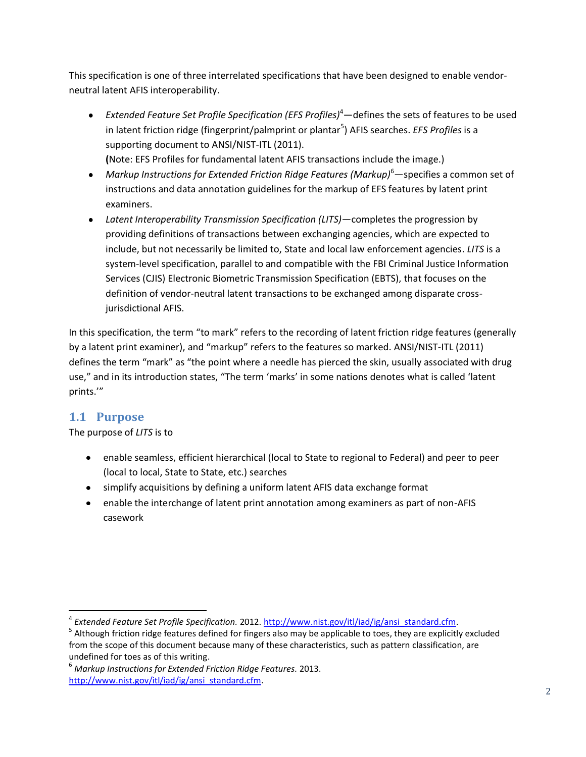This specification is one of three interrelated specifications that have been designed to enable vendorneutral latent AFIS interoperability.

- *Extended Feature Set Profile Specification (EFS Profiles)* <sup>4</sup>—defines the sets of features to be used in latent friction ridge (fingerprint/palmprint or plantar<sup>5</sup>) AFIS searches. *EFS Profiles* is a supporting document to ANSI/NIST-ITL (2011). **(**Note: EFS Profiles for fundamental latent AFIS transactions include the image.)
- *Markup Instructions for Extended Friction Ridge Features (Markup)* <sup>6</sup>—specifies a common set of instructions and data annotation guidelines for the markup of EFS features by latent print examiners.
- *Latent Interoperability Transmission Specification (LITS)*—completes the progression by providing definitions of transactions between exchanging agencies, which are expected to include, but not necessarily be limited to, State and local law enforcement agencies. *LITS* is a system-level specification, parallel to and compatible with the FBI Criminal Justice Information Services (CJIS) Electronic Biometric Transmission Specification (EBTS), that focuses on the definition of vendor-neutral latent transactions to be exchanged among disparate crossjurisdictional AFIS.

In this specification, the term "to mark" refers to the recording of latent friction ridge features (generally by a latent print examiner), and "markup" refers to the features so marked. ANSI/NIST-ITL (2011) defines the term "mark" as "the point where a needle has pierced the skin, usually associated with drug use," and in its introduction states, "The term 'marks' in some nations denotes what is called 'latent prints.'"

### <span id="page-8-0"></span>**1.1 Purpose**

 $\overline{a}$ 

The purpose of *LITS* is to

- enable seamless, efficient hierarchical (local to State to regional to Federal) and peer to peer (local to local, State to State, etc.) searches
- simplify acquisitions by defining a uniform latent AFIS data exchange format
- enable the interchange of latent print annotation among examiners as part of non-AFIS casework

<sup>&</sup>lt;sup>4</sup> Extended Feature Set Profile Specification. 2012[. http://www.nist.gov/itl/iad/ig/ansi\\_standard.cfm.](http://www.nist.gov/itl/iad/ig/ansi_standard.cfm)

<sup>&</sup>lt;sup>5</sup> Although friction ridge features defined for fingers also may be applicable to toes, they are explicitly excluded from the scope of this document because many of these characteristics, such as pattern classification, are undefined for toes as of this writing.

<sup>6</sup> *Markup Instructions for Extended Friction Ridge Features.* 2013. [http://www.nist.gov/itl/iad/ig/ansi\\_standard.cfm.](http://www.nist.gov/itl/iad/ig/ansi_standard.cfm)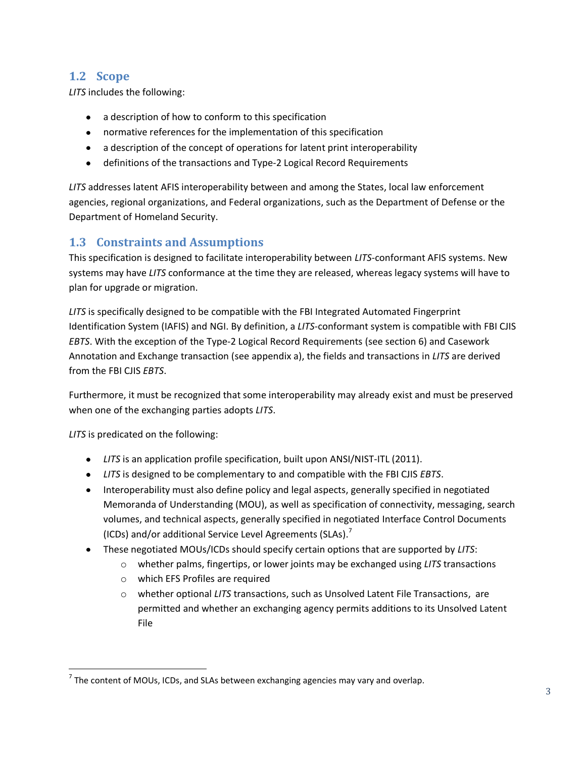#### <span id="page-9-0"></span>**1.2 Scope**

*LITS* includes the following:

- a description of how to conform to this specification
- normative references for the implementation of this specification
- a description of the concept of operations for latent print interoperability
- definitions of the transactions and Type-2 Logical Record Requirements

*LITS* addresses latent AFIS interoperability between and among the States, local law enforcement agencies, regional organizations, and Federal organizations, such as the Department of Defense or the Department of Homeland Security.

#### <span id="page-9-1"></span>**1.3 Constraints and Assumptions**

This specification is designed to facilitate interoperability between *LITS*-conformant AFIS systems. New systems may have *LITS* conformance at the time they are released, whereas legacy systems will have to plan for upgrade or migration.

*LITS* is specifically designed to be compatible with the FBI Integrated Automated Fingerprint Identification System (IAFIS) and NGI. By definition, a *LITS*-conformant system is compatible with FBI CJIS *EBTS*. With the exception of the Type-2 Logical Record Requirements (see section [6\)](#page-26-0) and Casework Annotation and Exchange transaction (see [appendix a\)](#page-34-0), the fields and transactions in *LITS* are derived from the FBI CJIS *EBTS*.

Furthermore, it must be recognized that some interoperability may already exist and must be preserved when one of the exchanging parties adopts *LITS*.

*LITS* is predicated on the following:

 $\overline{a}$ 

- *LITS* is an application profile specification, built upon ANSI/NIST-ITL (2011).
- *LITS* is designed to be complementary to and compatible with the FBI CJIS *EBTS*.
- Interoperability must also define policy and legal aspects, generally specified in negotiated Memoranda of Understanding (MOU), as well as specification of connectivity, messaging, search volumes, and technical aspects, generally specified in negotiated Interface Control Documents (ICDs) and/or additional Service Level Agreements (SLAs).<sup>7</sup>
- These negotiated MOUs/ICDs should specify certain options that are supported by *LITS*:
	- o whether palms, fingertips, or lower joints may be exchanged using *LITS* transactions
		- o which EFS Profiles are required
		- o whether optional *LITS* transactions, such as Unsolved Latent File Transactions, are permitted and whether an exchanging agency permits additions to its Unsolved Latent File

 $^7$  The content of MOUs, ICDs, and SLAs between exchanging agencies may vary and overlap.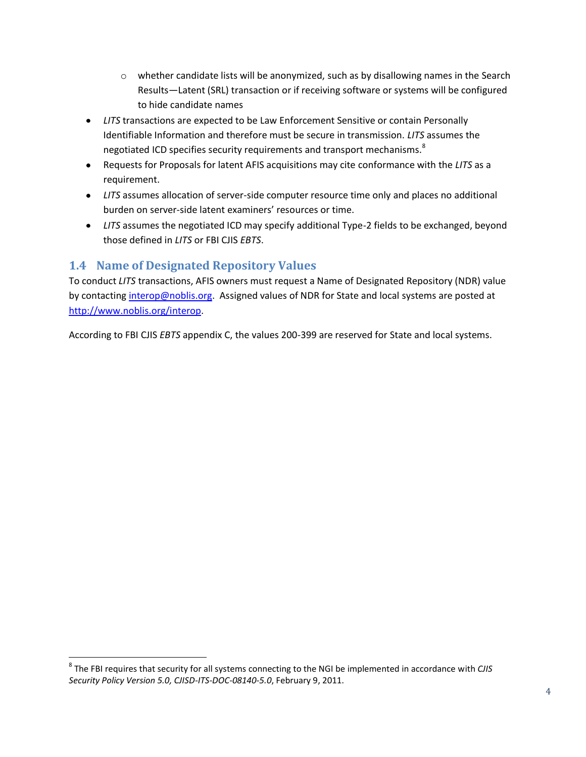- $\circ$  whether candidate lists will be anonymized, such as by disallowing names in the Search Results—Latent (SRL) transaction or if receiving software or systems will be configured to hide candidate names
- *LITS* transactions are expected to be Law Enforcement Sensitive or contain Personally Identifiable Information and therefore must be secure in transmission. *LITS* assumes the negotiated ICD specifies security requirements and transport mechanisms.<sup>8</sup>
- Requests for Proposals for latent AFIS acquisitions may cite conformance with the *LITS* as a requirement.
- *LITS* assumes allocation of server-side computer resource time only and places no additional burden on server-side latent examiners' resources or time.
- *LITS* assumes the negotiated ICD may specify additional Type-2 fields to be exchanged, beyond those defined in *LITS* or FBI CJIS *EBTS*.

#### <span id="page-10-0"></span>**1.4 Name of Designated Repository Values**

 $\overline{a}$ 

To conduct *LITS* transactions, AFIS owners must request a Name of Designated Repository (NDR) value by contactin[g interop@noblis.org.](mailto:interop@noblis.org?subject=Request%20for%20NDR%20value) Assigned values of NDR for State and local systems are posted at [http://www.noblis.org/interop.](http://www.noblis.org/interop)

According to FBI CJIS *EBTS* appendix C, the values 200-399 are reserved for State and local systems.

<sup>8</sup> The FBI requires that security for all systems connecting to the NGI be implemented in accordance with *CJIS Security Policy Version 5.0, CJISD-ITS-DOC-08140-5.0*, February 9, 2011.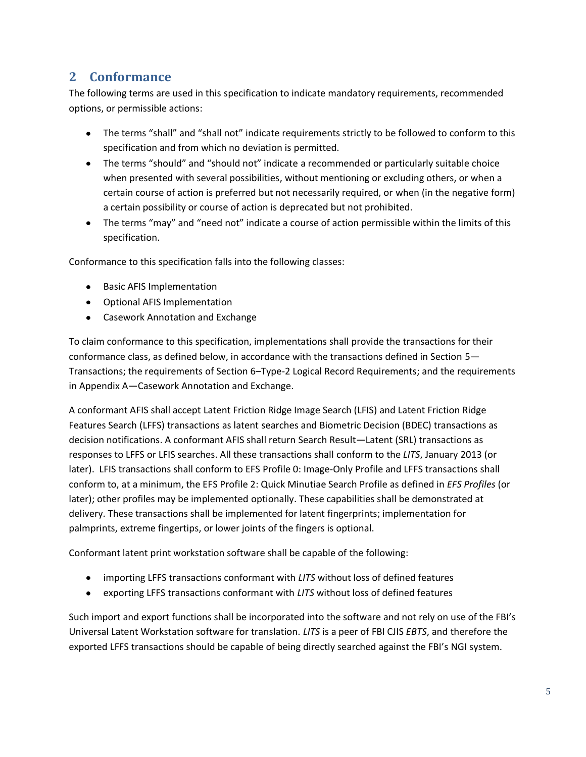### <span id="page-11-0"></span>**2 Conformance**

The following terms are used in this specification to indicate mandatory requirements, recommended options, or permissible actions:

- The terms "shall" and "shall not" indicate requirements strictly to be followed to conform to this specification and from which no deviation is permitted.
- The terms "should" and "should not" indicate a recommended or particularly suitable choice when presented with several possibilities, without mentioning or excluding others, or when a certain course of action is preferred but not necessarily required, or when (in the negative form) a certain possibility or course of action is deprecated but not prohibited.
- The terms "may" and "need not" indicate a course of action permissible within the limits of this specification.

Conformance to this specification falls into the following classes:

- Basic AFIS Implementation
- Optional AFIS Implementation
- Casework Annotation and Exchange

To claim conformance to this specification, implementations shall provide the transactions for their conformance class, as defined below, in accordance with the transactions defined in Section [5](#page-19-0)— [Transactions;](#page-19-0) the requirements of Sectio[n 6](#page-26-0)–[Type-2 Logical Record Requirements;](#page-26-0) and the requirements in [Appendix A](#page-34-0)—[Casework Annotation and Exchange.](#page-34-0)

A conformant AFIS shall accept Latent Friction Ridge Image Search (LFIS) and Latent Friction Ridge Features Search (LFFS) transactions as latent searches and Biometric Decision (BDEC) transactions as decision notifications. A conformant AFIS shall return Search Result—Latent (SRL) transactions as responses to LFFS or LFIS searches. All these transactions shall conform to the *LITS*, January 2013 (or later). LFIS transactions shall conform to EFS Profile 0: Image-Only Profile and LFFS transactions shall conform to, at a minimum, the EFS Profile 2: Quick Minutiae Search Profile as defined in *EFS Profiles* (or later); other profiles may be implemented optionally. These capabilities shall be demonstrated at delivery. These transactions shall be implemented for latent fingerprints; implementation for palmprints, extreme fingertips, or lower joints of the fingers is optional.

Conformant latent print workstation software shall be capable of the following:

- importing LFFS transactions conformant with *LITS* without loss of defined features
- exporting LFFS transactions conformant with *LITS* without loss of defined features

Such import and export functions shall be incorporated into the software and not rely on use of the FBI's Universal Latent Workstation software for translation. *LITS* is a peer of FBI CJIS *EBTS*, and therefore the exported LFFS transactions should be capable of being directly searched against the FBI's NGI system.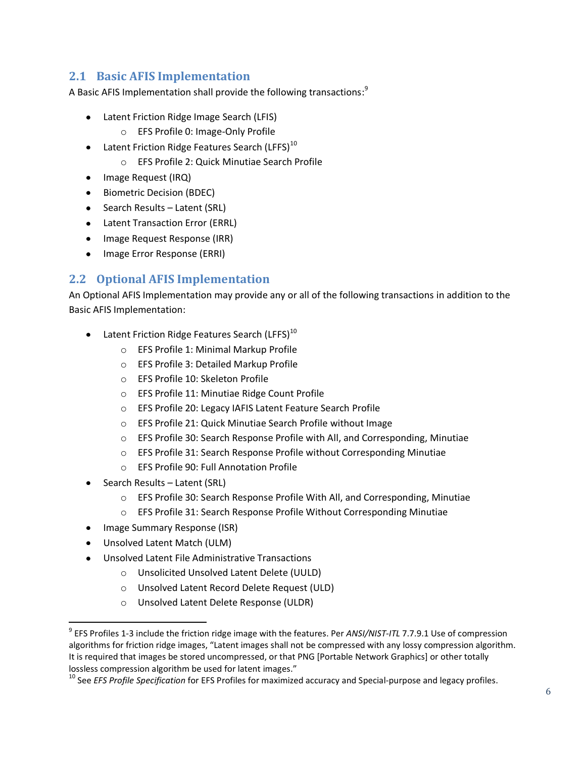#### <span id="page-12-0"></span>**2.1 Basic AFIS Implementation**

A Basic AFIS Implementation shall provide the following transactions: $^3$ 

- Latent Friction Ridge Image Search (LFIS)
	- o EFS Profile 0: Image-Only Profile
- <span id="page-12-2"></span>Latent Friction Ridge Features Search (LFFS) $^{10}$ 
	- o EFS Profile 2: Quick Minutiae Search Profile
- Image Request (IRQ)
- **•** Biometric Decision (BDEC)
- Search Results Latent (SRL)
- Latent Transaction Error (ERRL)
- Image Request Response (IRR)
- Image Error Response (ERRI)

#### <span id="page-12-1"></span>**2.2 Optional AFIS Implementation**

An Optional AFIS Implementation may provide any or all of the following transactions in addition to the Basic AFIS Implementation:

- Latent Friction Ridge Features Search (LFFS) $^{10}$  $^{10}$  $^{10}$ 
	- o EFS Profile 1: Minimal Markup Profile
	- o EFS Profile 3: Detailed Markup Profile
	- o EFS Profile 10: Skeleton Profile
	- o EFS Profile 11: Minutiae Ridge Count Profile
	- o EFS Profile 20: Legacy IAFIS Latent Feature Search Profile
	- o EFS Profile 21: Quick Minutiae Search Profile without Image
	- o EFS Profile 30: Search Response Profile with All, and Corresponding, Minutiae
	- o EFS Profile 31: Search Response Profile without Corresponding Minutiae
	- o EFS Profile 90: Full Annotation Profile
- Search Results Latent (SRL)
	- o EFS Profile 30: Search Response Profile With All, and Corresponding, Minutiae
	- o EFS Profile 31: Search Response Profile Without Corresponding Minutiae
- Image Summary Response (ISR)
- Unsolved Latent Match (ULM)  $\bullet$

l

- Unsolved Latent File Administrative Transactions
	- o Unsolicited Unsolved Latent Delete (UULD)
	- o Unsolved Latent Record Delete Request (ULD)
	- o Unsolved Latent Delete Response (ULDR)

<sup>9</sup> EFS Profiles 1-3 include the friction ridge image with the features. Per *ANSI/NIST-ITL* 7.7.9.1 Use of compression algorithms for friction ridge images, "Latent images shall not be compressed with any lossy compression algorithm. It is required that images be stored uncompressed, or that PNG [Portable Network Graphics] or other totally lossless compression algorithm be used for latent images."

<sup>&</sup>lt;sup>10</sup> See *EFS Profile Specification* for EFS Profiles for maximized accuracy and Special-purpose and legacy profiles.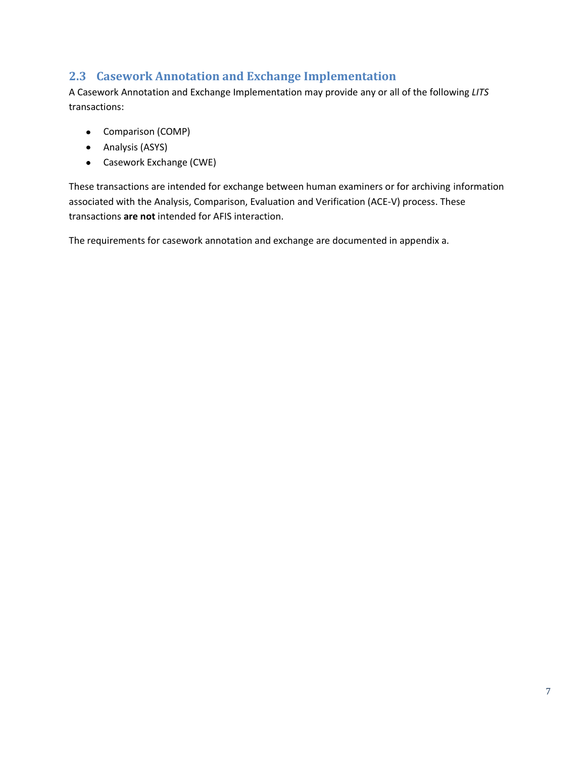#### <span id="page-13-0"></span>**2.3 Casework Annotation and Exchange Implementation**

A Casework Annotation and Exchange Implementation may provide any or all of the following *LITS* transactions:

- Comparison (COMP)
- Analysis (ASYS)
- Casework Exchange (CWE)

These transactions are intended for exchange between human examiners or for archiving information associated with the Analysis, Comparison, Evaluation and Verification (ACE-V) process. These transactions **are not** intended for AFIS interaction.

The requirements for casework annotation and exchange are documented in [appendix a.](#page-34-0)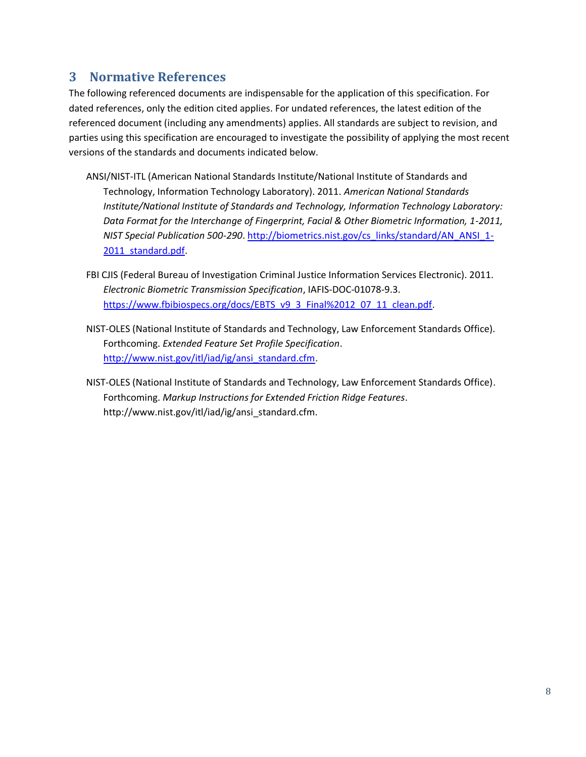### <span id="page-14-0"></span>**3 Normative References**

The following referenced documents are indispensable for the application of this specification. For dated references, only the edition cited applies. For undated references, the latest edition of the referenced document (including any amendments) applies. All standards are subject to revision, and parties using this specification are encouraged to investigate the possibility of applying the most recent versions of the standards and documents indicated below.

- ANSI/NIST-ITL (American National Standards Institute/National Institute of Standards and Technology, Information Technology Laboratory). 2011. *American National Standards Institute/National Institute of Standards and Technology, Information Technology Laboratory: Data Format for the Interchange of Fingerprint, Facial & Other Biometric Information, 1-2011, NIST Special Publication 500-290*[. http://biometrics.nist.gov/cs\\_links/standard/AN\\_ANSI\\_1-](http://biometrics.nist.gov/cs_links/standard/AN_ANSI_1-2011_standard.pdf) [2011\\_standard.pdf.](http://biometrics.nist.gov/cs_links/standard/AN_ANSI_1-2011_standard.pdf)
- FBI CJIS (Federal Bureau of Investigation Criminal Justice Information Services Electronic). 2011. *Electronic Biometric Transmission Specification*, IAFIS-DOC-01078-9.3. [https://www.fbibiospecs.org/docs/EBTS\\_v9\\_3\\_Final%2012\\_07\\_11\\_clean.pdf.](https://www.fbibiospecs.org/docs/EBTS_v9_3_Final%2012_07_11_clean.pdf)
- NIST-OLES (National Institute of Standards and Technology, Law Enforcement Standards Office). Forthcoming. *Extended Feature Set Profile Specification*. [http://www.nist.gov/itl/iad/ig/ansi\\_standard.cfm.](http://www.nist.gov/itl/iad/ig/ansi_standard.cfm)
- NIST-OLES (National Institute of Standards and Technology, Law Enforcement Standards Office). Forthcoming. *Markup Instructions for Extended Friction Ridge Features*. http://www.nist.gov/itl/iad/ig/ansi\_standard.cfm.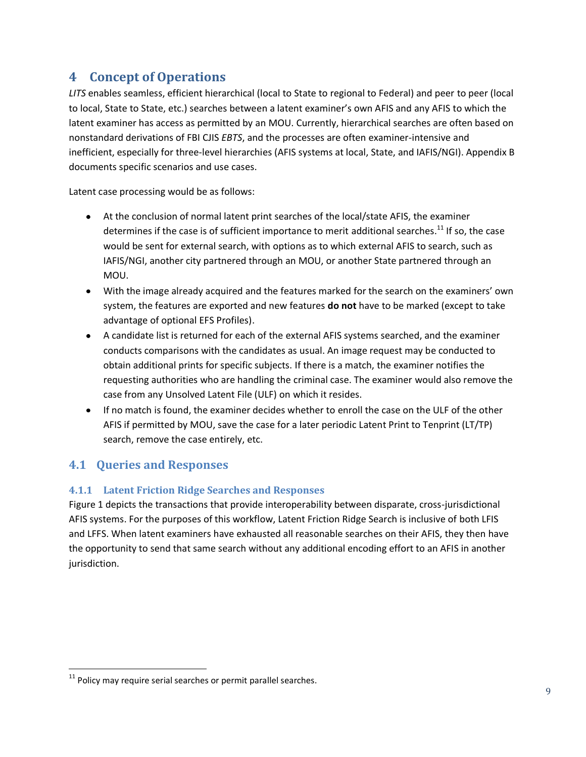## <span id="page-15-0"></span>**4 Concept of Operations**

*LITS* enables seamless, efficient hierarchical (local to State to regional to Federal) and peer to peer (local to local, State to State, etc.) searches between a latent examiner's own AFIS and any AFIS to which the latent examiner has access as permitted by an MOU. Currently, hierarchical searches are often based on nonstandard derivations of FBI CJIS *EBTS*, and the processes are often examiner-intensive and inefficient, especially for three-level hierarchies (AFIS systems at local, State, and IAFIS/NGI). [Appendix B](#page-38-0) documents specific scenarios and use cases.

Latent case processing would be as follows:

- At the conclusion of normal latent print searches of the local/state AFIS, the examiner determines if the case is of sufficient importance to merit additional searches.<sup>11</sup> If so, the case would be sent for external search, with options as to which external AFIS to search, such as IAFIS/NGI, another city partnered through an MOU, or another State partnered through an MOU.
- With the image already acquired and the features marked for the search on the examiners' own system, the features are exported and new features **do not** have to be marked (except to take advantage of optional EFS Profiles).
- A candidate list is returned for each of the external AFIS systems searched, and the examiner conducts comparisons with the candidates as usual. An image request may be conducted to obtain additional prints for specific subjects. If there is a match, the examiner notifies the requesting authorities who are handling the criminal case. The examiner would also remove the case from any Unsolved Latent File (ULF) on which it resides.
- If no match is found, the examiner decides whether to enroll the case on the ULF of the other AFIS if permitted by MOU, save the case for a later periodic Latent Print to Tenprint (LT/TP) search, remove the case entirely, etc.

#### <span id="page-15-1"></span>**4.1 Queries and Responses**

#### <span id="page-15-2"></span>**4.1.1 Latent Friction Ridge Searches and Responses**

[Figure 1](#page-16-1) depicts the transactions that provide interoperability between disparate, cross-jurisdictional AFIS systems. For the purposes of this workflow, Latent Friction Ridge Search is inclusive of both LFIS and LFFS. When latent examiners have exhausted all reasonable searches on their AFIS, they then have the opportunity to send that same search without any additional encoding effort to an AFIS in another jurisdiction.

 $\overline{a}$  $11$  Policy may require serial searches or permit parallel searches.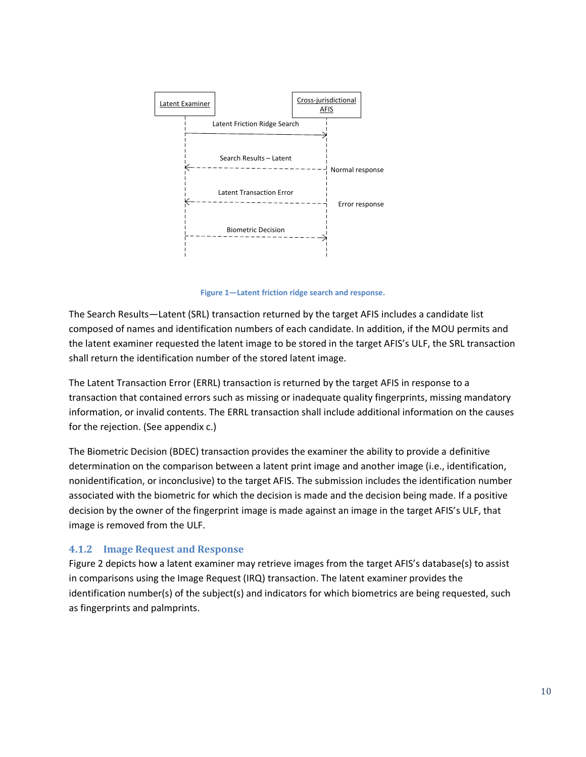

**Figure 1—Latent friction ridge search and response.**

<span id="page-16-1"></span>The Search Results—Latent (SRL) transaction returned by the target AFIS includes a candidate list composed of names and identification numbers of each candidate. In addition, if the MOU permits and the latent examiner requested the latent image to be stored in the target AFIS's ULF, the SRL transaction shall return the identification number of the stored latent image.

The Latent Transaction Error (ERRL) transaction is returned by the target AFIS in response to a transaction that contained errors such as missing or inadequate quality fingerprints, missing mandatory information, or invalid contents. The ERRL transaction shall include additional information on the causes for the rejection. (See [appendix c.](#page-40-0))

The Biometric Decision (BDEC) transaction provides the examiner the ability to provide a definitive determination on the comparison between a latent print image and another image (i.e., identification, nonidentification, or inconclusive) to the target AFIS. The submission includes the identification number associated with the biometric for which the decision is made and the decision being made. If a positive decision by the owner of the fingerprint image is made against an image in the target AFIS's ULF, that image is removed from the ULF.

#### <span id="page-16-0"></span>**4.1.2 Image Request and Response**

[Figure 2](#page-17-2) depicts how a latent examiner may retrieve images from the target AFIS's database(s) to assist in comparisons using the Image Request (IRQ) transaction. The latent examiner provides the identification number(s) of the subject(s) and indicators for which biometrics are being requested, such as fingerprints and palmprints.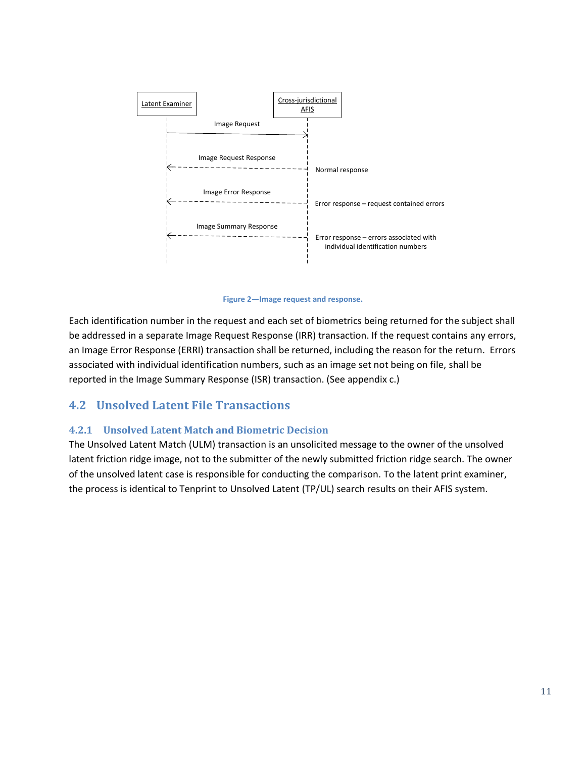

**Figure 2—Image request and response.**

<span id="page-17-2"></span>Each identification number in the request and each set of biometrics being returned for the subject shall be addressed in a separate Image Request Response (IRR) transaction. If the request contains any errors, an Image Error Response (ERRI) transaction shall be returned, including the reason for the return. Errors associated with individual identification numbers, such as an image set not being on file, shall be reported in the Image Summary Response (ISR) transaction. (See [appendix c.](#page-40-0))

#### <span id="page-17-0"></span>**4.2 Unsolved Latent File Transactions**

#### <span id="page-17-1"></span>**4.2.1 Unsolved Latent Match and Biometric Decision**

The Unsolved Latent Match (ULM) transaction is an unsolicited message to the owner of the unsolved latent friction ridge image, not to the submitter of the newly submitted friction ridge search. The owner of the unsolved latent case is responsible for conducting the comparison. To the latent print examiner, the process is identical to Tenprint to Unsolved Latent (TP/UL) search results on their AFIS system.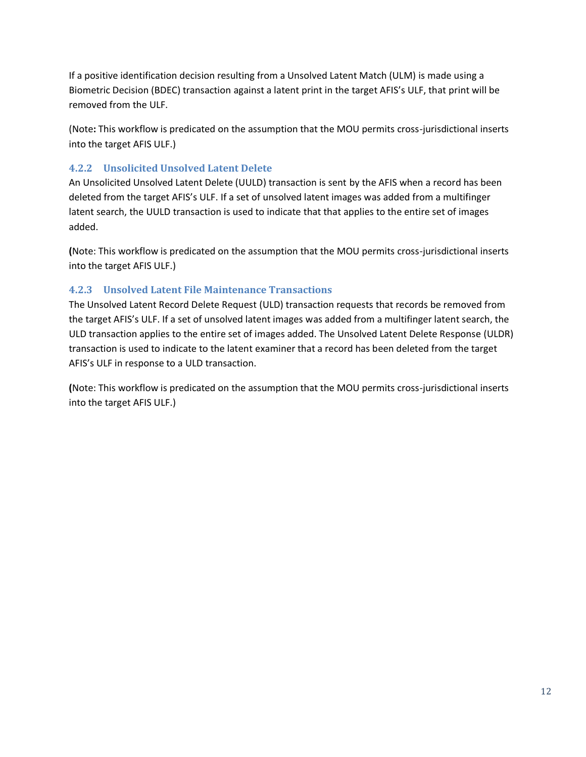If a positive identification decision resulting from a Unsolved Latent Match (ULM) is made using a Biometric Decision (BDEC) transaction against a latent print in the target AFIS's ULF, that print will be removed from the ULF.

(Note**:** This workflow is predicated on the assumption that the MOU permits cross-jurisdictional inserts into the target AFIS ULF.)

#### <span id="page-18-0"></span>**4.2.2 Unsolicited Unsolved Latent Delete**

An Unsolicited Unsolved Latent Delete (UULD) transaction is sent by the AFIS when a record has been deleted from the target AFIS's ULF. If a set of unsolved latent images was added from a multifinger latent search, the UULD transaction is used to indicate that that applies to the entire set of images added.

**(**Note: This workflow is predicated on the assumption that the MOU permits cross-jurisdictional inserts into the target AFIS ULF.)

#### <span id="page-18-1"></span>**4.2.3 Unsolved Latent File Maintenance Transactions**

The Unsolved Latent Record Delete Request (ULD) transaction requests that records be removed from the target AFIS's ULF. If a set of unsolved latent images was added from a multifinger latent search, the ULD transaction applies to the entire set of images added. The Unsolved Latent Delete Response (ULDR) transaction is used to indicate to the latent examiner that a record has been deleted from the target AFIS's ULF in response to a ULD transaction.

**(**Note: This workflow is predicated on the assumption that the MOU permits cross-jurisdictional inserts into the target AFIS ULF.)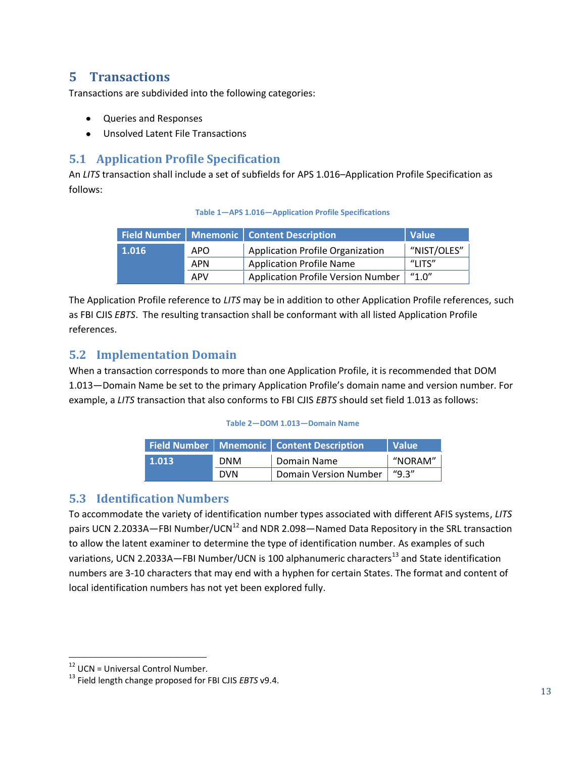#### <span id="page-19-0"></span>**5 Transactions**

Transactions are subdivided into the following categories:

- Queries and Responses
- Unsolved Latent File Transactions

#### <span id="page-19-1"></span>**5.1 Application Profile Specification**

<span id="page-19-4"></span>An *LITS* transaction shall include a set of subfields for APS 1.016–Application Profile Specification as follows:

#### **Table 1—APS 1.016—Application Profile Specifications**

|              |            | Field Number   Mnemonic   Content Description | <b>Value</b> |
|--------------|------------|-----------------------------------------------|--------------|
| $\mid$ 1.016 | <b>APO</b> | <b>Application Profile Organization</b>       | "NIST/OLES"  |
|              | <b>APN</b> | <b>Application Profile Name</b>               | "ו וד?"      |
|              | <b>APV</b> | <b>Application Profile Version Number</b>     | "1.0"        |

The Application Profile reference to *LITS* may be in addition to other Application Profile references, such as FBI CJIS *EBTS*. The resulting transaction shall be conformant with all listed Application Profile references.

#### <span id="page-19-2"></span>**5.2 Implementation Domain**

<span id="page-19-5"></span>When a transaction corresponds to more than one Application Profile, it is recommended that DOM 1.013—Domain Name be set to the primary Application Profile's domain name and version number. For example, a *LITS* transaction that also conforms to FBI CJIS *EBTS* should set field 1.013 as follows:

#### **Table 2—DOM 1.013—Domain Name**

|       |            | Field Number   Mnemonic   Content Description | Value   |
|-------|------------|-----------------------------------------------|---------|
| 1.013 | <b>DNM</b> | Domain Name                                   | "NORAM" |
|       | <b>DVN</b> | <b>Domain Version Number</b>                  | ''9.3'' |

#### <span id="page-19-3"></span>**5.3 Identification Numbers**

To accommodate the variety of identification number types associated with different AFIS systems, *LITS* pairs UCN 2.2033A–FBI Number/UCN<sup>12</sup> and NDR 2.098–Named Data Repository in the SRL transaction to allow the latent examiner to determine the type of identification number. As examples of such variations, UCN 2.2033A–FBI Number/UCN is 100 alphanumeric characters<sup>13</sup> and State identification numbers are 3-10 characters that may end with a hyphen for certain States. The format and content of local identification numbers has not yet been explored fully.

 $\overline{a}$ 

 $12$  UCN = Universal Control Number.

<sup>13</sup> Field length change proposed for FBI CJIS *EBTS* v9.4.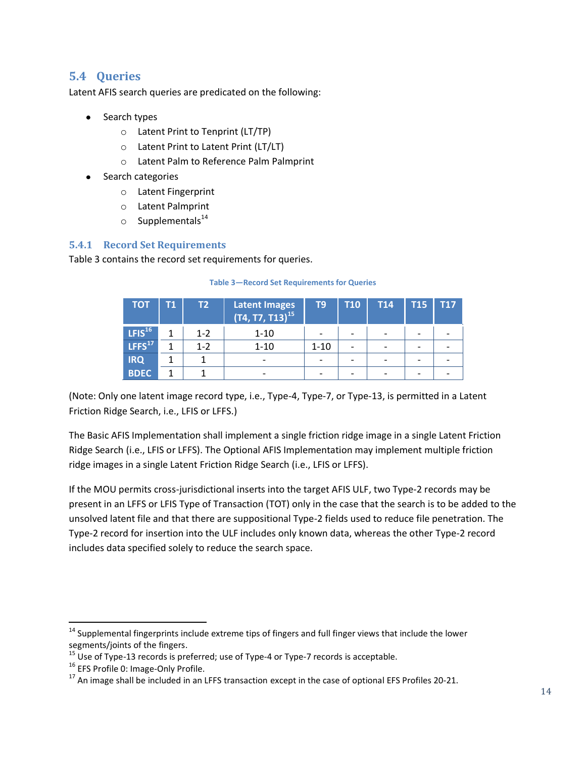#### <span id="page-20-0"></span>**5.4 Queries**

Latent AFIS search queries are predicated on the following:

- Search types
	- o Latent Print to Tenprint (LT/TP)
	- o Latent Print to Latent Print (LT/LT)
	- o Latent Palm to Reference Palm Palmprint
- Search categories
	- o Latent Fingerprint
	- o Latent Palmprint
	- $\circ$  Supplementals<sup>14</sup>

#### <span id="page-20-1"></span>**5.4.1 Record Set Requirements**

<span id="page-20-2"></span>[Table 3](#page-20-2) contains the record set requirements for queries.

| <b>TOT</b>         | Т1 | T2.     | Latent Images<br>$(T4, T7, T13)^{15}$ | T9       | <b>T10</b>               | <b>T14</b> | <b>T15</b> | T17 |
|--------------------|----|---------|---------------------------------------|----------|--------------------------|------------|------------|-----|
| LFIS <sup>16</sup> |    | $1 - 2$ | $1 - 10$                              |          | $\overline{\phantom{0}}$ |            | -          |     |
| LFFS <sup>17</sup> |    | $1 - 2$ | $1 - 10$                              | $1 - 10$ |                          |            |            |     |
| <b>IRQ</b>         |    |         |                                       |          |                          |            |            |     |
| <b>BDEC</b>        |    |         |                                       |          |                          |            |            |     |

#### **Table 3—Record Set Requirements for Queries**

(Note: Only one latent image record type, i.e., Type-4, Type-7, or Type-13, is permitted in a Latent Friction Ridge Search, i.e., LFIS or LFFS.)

The Basic AFIS Implementation shall implement a single friction ridge image in a single Latent Friction Ridge Search (i.e., LFIS or LFFS). The Optional AFIS Implementation may implement multiple friction ridge images in a single Latent Friction Ridge Search (i.e., LFIS or LFFS).

If the MOU permits cross-jurisdictional inserts into the target AFIS ULF, two Type-2 records may be present in an LFFS or LFIS Type of Transaction (TOT) only in the case that the search is to be added to the unsolved latent file and that there are suppositional Type-2 fields used to reduce file penetration. The Type-2 record for insertion into the ULF includes only known data, whereas the other Type-2 record includes data specified solely to reduce the search space.

l

<sup>&</sup>lt;sup>14</sup> Supplemental fingerprints include extreme tips of fingers and full finger views that include the lower segments/joints of the fingers.

<sup>&</sup>lt;sup>15</sup> Use of Type-13 records is preferred; use of Type-4 or Type-7 records is acceptable.

<sup>&</sup>lt;sup>16</sup> EFS Profile 0: Image-Only Profile.

 $17$  An image shall be included in an LFFS transaction except in the case of optional EFS Profiles 20-21.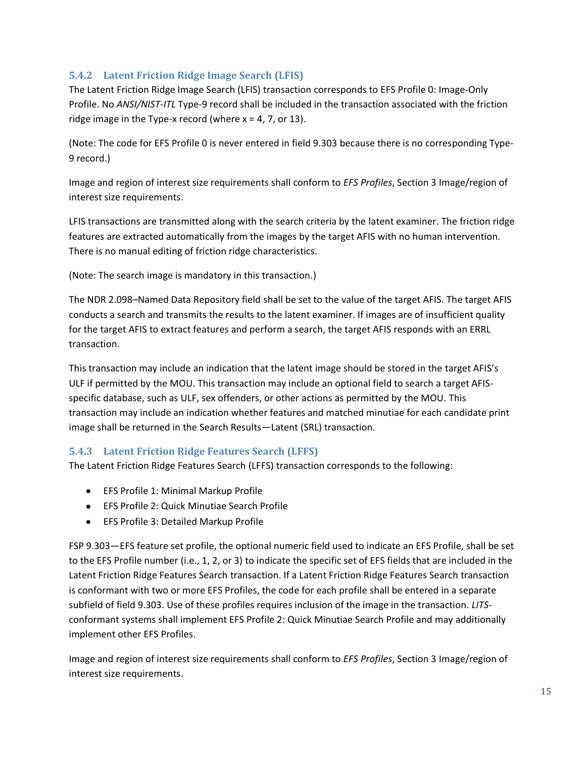#### <span id="page-21-0"></span>**5.4.2 Latent Friction Ridge Image Search (LFIS)**

The Latent Friction Ridge Image Search (LFIS) transaction corresponds to EFS Profile 0: Image-Only Profile. No *ANSI/NIST-ITL* Type-9 record shall be included in the transaction associated with the friction ridge image in the Type-x record (where  $x = 4$ , 7, or 13).

(Note: The code for EFS Profile 0 is never entered in field 9.303 because there is no corresponding Type-9 record.)

Image and region of interest size requirements shall conform to *EFS Profiles*, Section 3 Image/region of interest size requirements.

LFIS transactions are transmitted along with the search criteria by the latent examiner. The friction ridge features are extracted automatically from the images by the target AFIS with no human intervention. There is no manual editing of friction ridge characteristics.

(Note: The search image is mandatory in this transaction.)

The NDR 2.098–Named Data Repository field shall be set to the value of the target AFIS. The target AFIS conducts a search and transmits the results to the latent examiner. If images are of insufficient quality for the target AFIS to extract features and perform a search, the target AFIS responds with an ERRL transaction.

This transaction may include an indication that the latent image should be stored in the target AFIS's ULF if permitted by the MOU. This transaction may include an optional field to search a target AFISspecific database, such as ULF, sex offenders, or other actions as permitted by the MOU. This transaction may include an indication whether features and matched minutiae for each candidate print image shall be returned in the Search Results—Latent (SRL) transaction.

#### <span id="page-21-1"></span>**5.4.3 Latent Friction Ridge Features Search (LFFS)**

The Latent Friction Ridge Features Search (LFFS) transaction corresponds to the following:

- EFS Profile 1: Minimal Markup Profile
- EFS Profile 2: Quick Minutiae Search Profile
- EFS Profile 3: Detailed Markup Profile

FSP 9.303—EFS feature set profile, the optional numeric field used to indicate an EFS Profile, shall be set to the EFS Profile number (i.e., 1, 2, or 3) to indicate the specific set of EFS fields that are included in the Latent Friction Ridge Features Search transaction. If a Latent Friction Ridge Features Search transaction is conformant with two or more EFS Profiles, the code for each profile shall be entered in a separate subfield of field 9.303. Use of these profiles requires inclusion of the image in the transaction. *LITS*conformant systems shall implement EFS Profile 2: Quick Minutiae Search Profile and may additionally implement other EFS Profiles.

Image and region of interest size requirements shall conform to *EFS Profiles*, Section 3 Image/region of interest size requirements.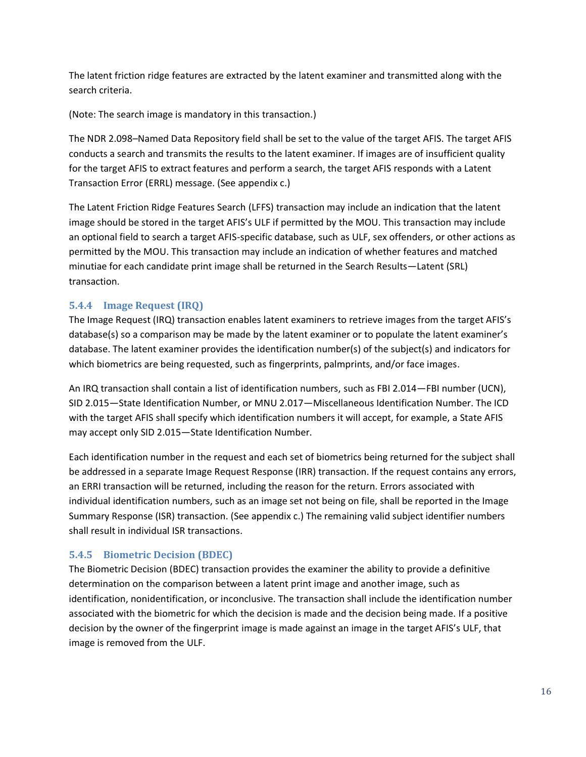The latent friction ridge features are extracted by the latent examiner and transmitted along with the search criteria.

(Note: The search image is mandatory in this transaction.)

The NDR 2.098–Named Data Repository field shall be set to the value of the target AFIS. The target AFIS conducts a search and transmits the results to the latent examiner. If images are of insufficient quality for the target AFIS to extract features and perform a search, the target AFIS responds with a Latent Transaction Error (ERRL) message. (See [appendix c.](#page-40-0))

The Latent Friction Ridge Features Search (LFFS) transaction may include an indication that the latent image should be stored in the target AFIS's ULF if permitted by the MOU. This transaction may include an optional field to search a target AFIS-specific database, such as ULF, sex offenders, or other actions as permitted by the MOU. This transaction may include an indication of whether features and matched minutiae for each candidate print image shall be returned in the Search Results—Latent (SRL) transaction.

#### <span id="page-22-0"></span>**5.4.4 Image Request (IRQ)**

The Image Request (IRQ) transaction enables latent examiners to retrieve images from the target AFIS's database(s) so a comparison may be made by the latent examiner or to populate the latent examiner's database. The latent examiner provides the identification number(s) of the subject(s) and indicators for which biometrics are being requested, such as fingerprints, palmprints, and/or face images.

An IRQ transaction shall contain a list of identification numbers, such as FBI 2.014—FBI number (UCN), SID 2.015—State Identification Number, or MNU 2.017—Miscellaneous Identification Number. The ICD with the target AFIS shall specify which identification numbers it will accept, for example, a State AFIS may accept only SID 2.015—State Identification Number.

Each identification number in the request and each set of biometrics being returned for the subject shall be addressed in a separate Image Request Response (IRR) transaction. If the request contains any errors, an ERRI transaction will be returned, including the reason for the return. Errors associated with individual identification numbers, such as an image set not being on file, shall be reported in the Image Summary Response (ISR) transaction. (See [appendix c.](#page-40-0)) The remaining valid subject identifier numbers shall result in individual ISR transactions.

#### <span id="page-22-1"></span>**5.4.5 Biometric Decision (BDEC)**

The Biometric Decision (BDEC) transaction provides the examiner the ability to provide a definitive determination on the comparison between a latent print image and another image, such as identification, nonidentification, or inconclusive. The transaction shall include the identification number associated with the biometric for which the decision is made and the decision being made. If a positive decision by the owner of the fingerprint image is made against an image in the target AFIS's ULF, that image is removed from the ULF.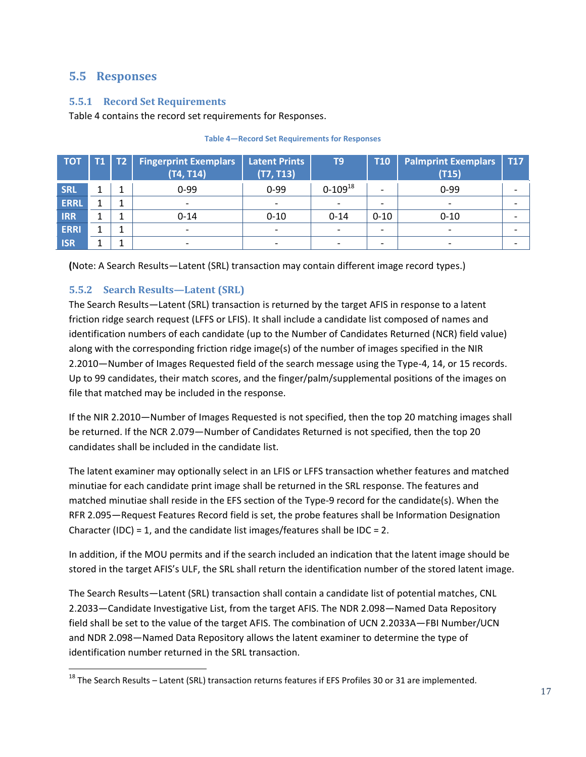#### <span id="page-23-0"></span>**5.5 Responses**

#### <span id="page-23-1"></span>**5.5.1 Record Set Requirements**

[Table 4](#page-23-3) contains the record set requirements for Responses.

<span id="page-23-3"></span>

| <b>TOT</b>  | <b>T1</b> | $\mathsf{T2}^{\mathsf{T}}$ | <b>Fingerprint Exemplars</b><br>(T4, T14) | <b>Latent Prints</b><br>(T7, T13) | T <sub>9</sub>           | <b>T10</b>               | <b>Palmprint Exemplars</b><br>(T15) | <b>T17</b>               |
|-------------|-----------|----------------------------|-------------------------------------------|-----------------------------------|--------------------------|--------------------------|-------------------------------------|--------------------------|
| <b>SRL</b>  |           |                            | $0 - 99$                                  | $0 - 99$                          | $0-109^{18}$             | $\overline{\phantom{0}}$ | $0 - 99$                            |                          |
| <b>ERRL</b> |           |                            | $\overline{\phantom{a}}$                  | $\overline{\phantom{a}}$          | $\overline{\phantom{a}}$ | $\overline{\phantom{0}}$ |                                     |                          |
| <b>IRR</b>  | ┸         |                            | $0 - 14$                                  | $0 - 10$                          | $0 - 14$                 | $0 - 10$                 | $0 - 10$                            |                          |
| <b>ERRI</b> |           |                            | $\overline{\phantom{a}}$                  | $\overline{\phantom{a}}$          | $\overline{\phantom{a}}$ | $\overline{\phantom{0}}$ |                                     |                          |
| <b>ISR</b>  | ┻         |                            | $\overline{\phantom{a}}$                  | $\overline{\phantom{a}}$          | $\overline{\phantom{a}}$ | $\overline{\phantom{0}}$ |                                     | $\overline{\phantom{0}}$ |

#### **Table 4—Record Set Requirements for Responses**

**(**Note: A Search Results—Latent (SRL) transaction may contain different image record types.)

#### <span id="page-23-2"></span>**5.5.2 Search Results—Latent (SRL)**

The Search Results—Latent (SRL) transaction is returned by the target AFIS in response to a latent friction ridge search request (LFFS or LFIS). It shall include a candidate list composed of names and identification numbers of each candidate (up to the Number of Candidates Returned (NCR) field value) along with the corresponding friction ridge image(s) of the number of images specified in the NIR 2.2010—Number of Images Requested field of the search message using the Type-4, 14, or 15 records. Up to 99 candidates, their match scores, and the finger/palm/supplemental positions of the images on file that matched may be included in the response.

If the NIR 2.2010—Number of Images Requested is not specified, then the top 20 matching images shall be returned. If the NCR 2.079—Number of Candidates Returned is not specified, then the top 20 candidates shall be included in the candidate list.

The latent examiner may optionally select in an LFIS or LFFS transaction whether features and matched minutiae for each candidate print image shall be returned in the SRL response. The features and matched minutiae shall reside in the EFS section of the Type-9 record for the candidate(s). When the RFR 2.095—Request Features Record field is set, the probe features shall be Information Designation Character (IDC) = 1, and the candidate list images/features shall be IDC = 2.

In addition, if the MOU permits and if the search included an indication that the latent image should be stored in the target AFIS's ULF, the SRL shall return the identification number of the stored latent image.

The Search Results—Latent (SRL) transaction shall contain a candidate list of potential matches, CNL 2.2033—Candidate Investigative List, from the target AFIS. The NDR 2.098—Named Data Repository field shall be set to the value of the target AFIS. The combination of UCN 2.2033A—FBI Number/UCN and NDR 2.098—Named Data Repository allows the latent examiner to determine the type of identification number returned in the SRL transaction.

 $\overline{a}$ <sup>18</sup> The Search Results – Latent (SRL) transaction returns features if EFS Profiles 30 or 31 are implemented.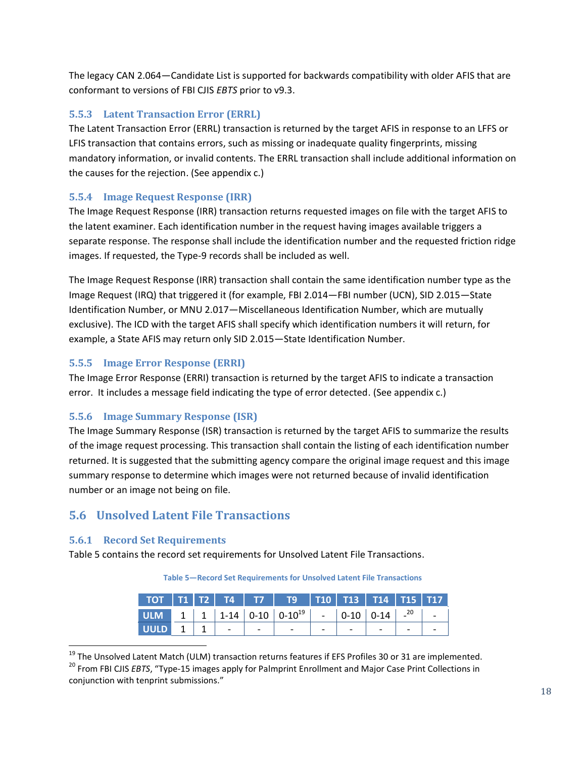The legacy CAN 2.064—Candidate List is supported for backwards compatibility with older AFIS that are conformant to versions of FBI CJIS *EBTS* prior to v9.3.

#### <span id="page-24-0"></span>**5.5.3 Latent Transaction Error (ERRL)**

The Latent Transaction Error (ERRL) transaction is returned by the target AFIS in response to an LFFS or LFIS transaction that contains errors, such as missing or inadequate quality fingerprints, missing mandatory information, or invalid contents. The ERRL transaction shall include additional information on the causes for the rejection. (See [appendix c.](#page-40-0))

#### <span id="page-24-1"></span>**5.5.4 Image Request Response (IRR)**

The Image Request Response (IRR) transaction returns requested images on file with the target AFIS to the latent examiner. Each identification number in the request having images available triggers a separate response. The response shall include the identification number and the requested friction ridge images. If requested, the Type-9 records shall be included as well.

The Image Request Response (IRR) transaction shall contain the same identification number type as the Image Request (IRQ) that triggered it (for example, FBI 2.014—FBI number (UCN), SID 2.015—State Identification Number, or MNU 2.017—Miscellaneous Identification Number, which are mutually exclusive). The ICD with the target AFIS shall specify which identification numbers it will return, for example, a State AFIS may return only SID 2.015—State Identification Number.

#### <span id="page-24-2"></span>**5.5.5 Image Error Response (ERRI)**

The Image Error Response (ERRI) transaction is returned by the target AFIS to indicate a transaction error. It includes a message field indicating the type of error detected. (See [appendix c.](#page-40-0))

#### <span id="page-24-3"></span>**5.5.6 Image Summary Response (ISR)**

The Image Summary Response (ISR) transaction is returned by the target AFIS to summarize the results of the image request processing. This transaction shall contain the listing of each identification number returned. It is suggested that the submitting agency compare the original image request and this image summary response to determine which images were not returned because of invalid identification number or an image not being on file.

#### <span id="page-24-4"></span>**5.6 Unsolved Latent File Transactions**

#### <span id="page-24-5"></span>**5.6.1 Record Set Requirements**

l

<span id="page-24-6"></span>[Table 5](#page-24-6) contains the record set requirements for Unsolved Latent File Transactions.

**Table 5—Record Set Requirements for Unsolved Latent File Transactions**

|  |  | 117   172   174   177   179   170   173   174   175   177 |  |  |  |
|--|--|-----------------------------------------------------------|--|--|--|
|  |  |                                                           |  |  |  |
|  |  |                                                           |  |  |  |

<sup>&</sup>lt;sup>19</sup> The Unsolved Latent Match (ULM) transaction returns features if EFS Profiles 30 or 31 are implemented.

<sup>20</sup> From FBI CJIS *EBTS*, "Type-15 images apply for Palmprint Enrollment and Major Case Print Collections in conjunction with tenprint submissions."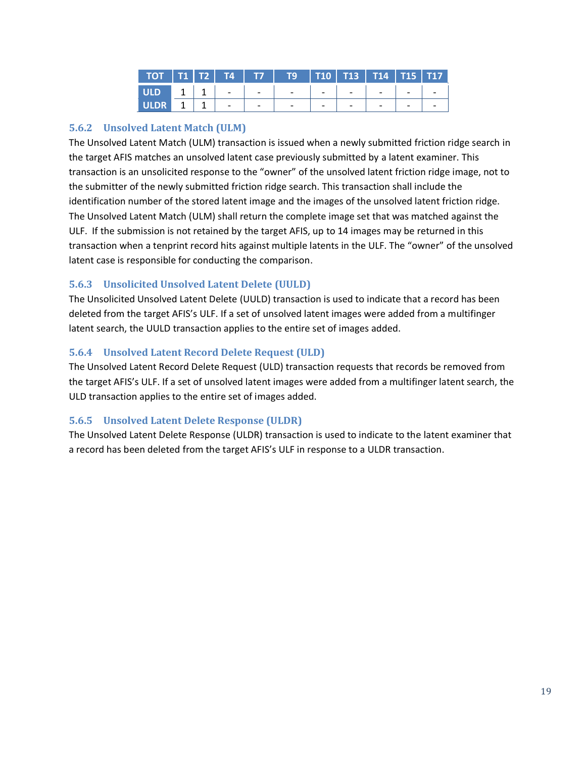|  |  | 10   11   12   14   17   19   110   113   114   115   117 |  |  |  |
|--|--|-----------------------------------------------------------|--|--|--|
|  |  |                                                           |  |  |  |
|  |  | ULDR 1   1   -   -   -   -   -   -   -   -                |  |  |  |

#### <span id="page-25-0"></span>**5.6.2 Unsolved Latent Match (ULM)**

The Unsolved Latent Match (ULM) transaction is issued when a newly submitted friction ridge search in the target AFIS matches an unsolved latent case previously submitted by a latent examiner. This transaction is an unsolicited response to the "owner" of the unsolved latent friction ridge image, not to the submitter of the newly submitted friction ridge search. This transaction shall include the identification number of the stored latent image and the images of the unsolved latent friction ridge. The Unsolved Latent Match (ULM) shall return the complete image set that was matched against the ULF. If the submission is not retained by the target AFIS, up to 14 images may be returned in this transaction when a tenprint record hits against multiple latents in the ULF. The "owner" of the unsolved latent case is responsible for conducting the comparison.

#### <span id="page-25-1"></span>**5.6.3 Unsolicited Unsolved Latent Delete (UULD)**

The Unsolicited Unsolved Latent Delete (UULD) transaction is used to indicate that a record has been deleted from the target AFIS's ULF. If a set of unsolved latent images were added from a multifinger latent search, the UULD transaction applies to the entire set of images added.

#### <span id="page-25-2"></span>**5.6.4 Unsolved Latent Record Delete Request (ULD)**

The Unsolved Latent Record Delete Request (ULD) transaction requests that records be removed from the target AFIS's ULF. If a set of unsolved latent images were added from a multifinger latent search, the ULD transaction applies to the entire set of images added.

#### <span id="page-25-3"></span>**5.6.5 Unsolved Latent Delete Response (ULDR)**

The Unsolved Latent Delete Response (ULDR) transaction is used to indicate to the latent examiner that a record has been deleted from the target AFIS's ULF in response to a ULDR transaction.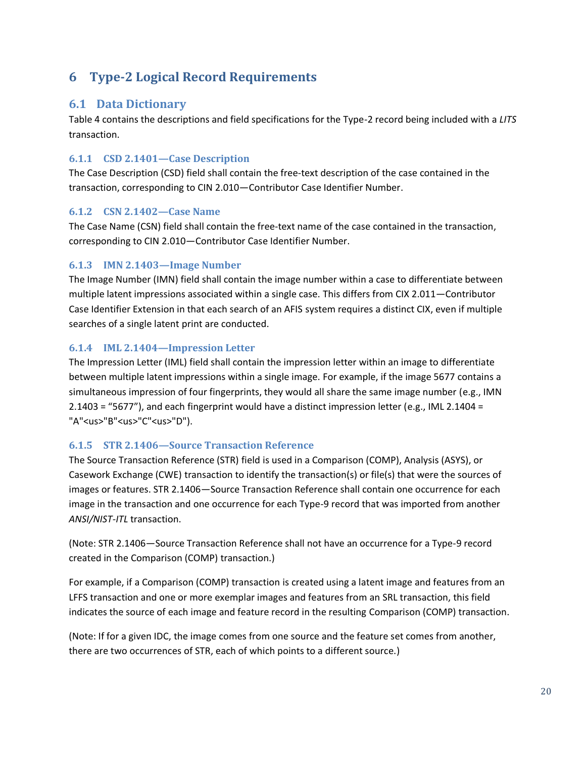## <span id="page-26-0"></span>**6 Type-2 Logical Record Requirements**

#### <span id="page-26-1"></span>**6.1 Data Dictionary**

Table 4 contains the descriptions and field specifications for the Type-2 record being included with a *LITS* transaction.

#### <span id="page-26-2"></span>**6.1.1 CSD 2.1401—Case Description**

The Case Description (CSD) field shall contain the free-text description of the case contained in the transaction, corresponding to CIN 2.010—Contributor Case Identifier Number.

#### <span id="page-26-3"></span>**6.1.2 CSN 2.1402—Case Name**

The Case Name (CSN) field shall contain the free-text name of the case contained in the transaction, corresponding to CIN 2.010—Contributor Case Identifier Number.

#### <span id="page-26-4"></span>**6.1.3 IMN 2.1403—Image Number**

The Image Number (IMN) field shall contain the image number within a case to differentiate between multiple latent impressions associated within a single case. This differs from CIX 2.011—Contributor Case Identifier Extension in that each search of an AFIS system requires a distinct CIX, even if multiple searches of a single latent print are conducted.

#### <span id="page-26-5"></span>**6.1.4 IML 2.1404—Impression Letter**

The Impression Letter (IML) field shall contain the impression letter within an image to differentiate between multiple latent impressions within a single image. For example, if the image 5677 contains a simultaneous impression of four fingerprints, they would all share the same image number (e.g., IMN 2.1403 = "5677"), and each fingerprint would have a distinct impression letter (e.g., IML 2.1404 = "A"<us>"B"<us>"C"<us>"D").

#### <span id="page-26-6"></span>**6.1.5 STR 2.1406—Source Transaction Reference**

The Source Transaction Reference (STR) field is used in a Comparison (COMP), Analysis (ASYS), or Casework Exchange (CWE) transaction to identify the transaction(s) or file(s) that were the sources of images or features. STR 2.1406—Source Transaction Reference shall contain one occurrence for each image in the transaction and one occurrence for each Type-9 record that was imported from another *ANSI/NIST-ITL* transaction.

(Note: STR 2.1406—Source Transaction Reference shall not have an occurrence for a Type-9 record created in the Comparison (COMP) transaction.)

For example, if a Comparison (COMP) transaction is created using a latent image and features from an LFFS transaction and one or more exemplar images and features from an SRL transaction, this field indicates the source of each image and feature record in the resulting Comparison (COMP) transaction.

(Note: If for a given IDC, the image comes from one source and the feature set comes from another, there are two occurrences of STR, each of which points to a different source.)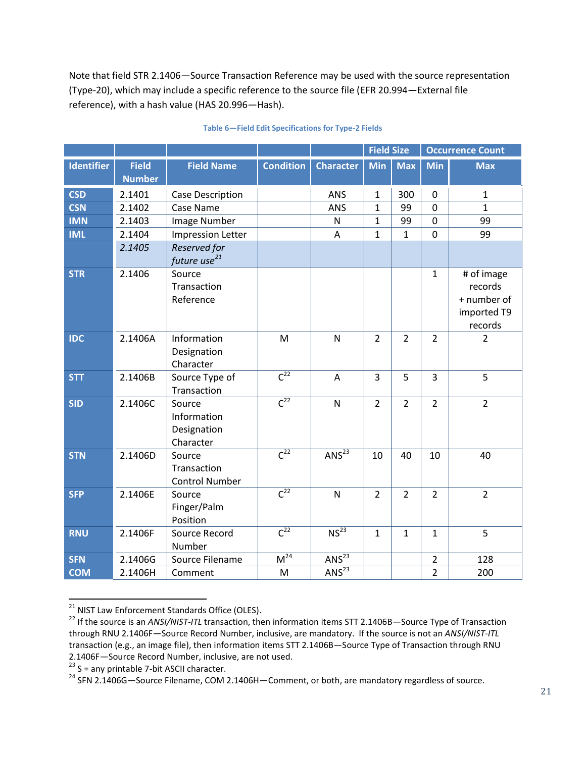Note that field STR 2.1406—Source Transaction Reference may be used with the source representation (Type-20), which may include a specific reference to the source file (EFR 20.994—External file reference), with a hash value (HAS 20.996—Hash).

<span id="page-27-0"></span>

|                   |                               |                                                   |                     |                       | <b>Field Size</b> |                | <b>Occurrence Count</b> |                                                                |
|-------------------|-------------------------------|---------------------------------------------------|---------------------|-----------------------|-------------------|----------------|-------------------------|----------------------------------------------------------------|
| <b>Identifier</b> | <b>Field</b><br><b>Number</b> | <b>Field Name</b>                                 | <b>Condition</b>    | <b>Character</b>      | <b>Min</b>        | <b>Max</b>     | <b>Min</b>              | <b>Max</b>                                                     |
| <b>CSD</b>        | 2.1401                        | Case Description                                  |                     | ANS                   | $\mathbf 1$       | 300            | $\pmb{0}$               | $\mathbf 1$                                                    |
| <b>CSN</b>        | 2.1402                        | Case Name                                         |                     | ANS                   | $\mathbf{1}$      | 99             | $\overline{0}$          | $\mathbf{1}$                                                   |
| <b>IMN</b>        | 2.1403                        | Image Number                                      |                     | N                     | $\mathbf{1}$      | 99             | $\mathbf 0$             | 99                                                             |
| <b>IML</b>        | 2.1404                        | <b>Impression Letter</b>                          |                     | A                     | $\mathbf{1}$      | $\mathbf{1}$   | $\boldsymbol{0}$        | 99                                                             |
|                   | 2.1405                        | Reserved for<br>future use <sup>21</sup>          |                     |                       |                   |                |                         |                                                                |
| <b>STR</b>        | 2.1406                        | Source<br>Transaction<br>Reference                |                     |                       |                   |                | $\mathbf{1}$            | # of image<br>records<br>+ number of<br>imported T9<br>records |
| <b>IDC</b>        | 2.1406A                       | Information<br>Designation<br>Character           | M                   | $\mathsf{N}$          | $\overline{2}$    | $\overline{2}$ | $\overline{2}$          | $\overline{2}$                                                 |
| <b>STT</b>        | 2.1406B                       | Source Type of<br>Transaction                     | $\overline{C^{22}}$ | A                     | 3                 | 5              | 3                       | 5                                                              |
| <b>SID</b>        | 2.1406C                       | Source<br>Information<br>Designation<br>Character | $\overline{C^{22}}$ | $\mathsf{N}$          | $\overline{2}$    | $\overline{2}$ | $\overline{2}$          | $\overline{2}$                                                 |
| <b>STN</b>        | 2.1406D                       | Source<br>Transaction<br><b>Control Number</b>    | $\overline{C^{22}}$ | $AN\overline{S^{23}}$ | 10                | 40             | 10                      | 40                                                             |
| <b>SFP</b>        | 2.1406E                       | Source<br>Finger/Palm<br>Position                 | $\overline{C^{22}}$ | $\mathsf{N}$          | $\overline{2}$    | $\overline{2}$ | $\overline{2}$          | $\overline{2}$                                                 |
| <b>RNU</b>        | 2.1406F                       | Source Record<br>Number                           | $\overline{C^{22}}$ | NS <sup>23</sup>      | $\mathbf{1}$      | $\mathbf{1}$   | $\mathbf{1}$            | 5                                                              |
| <b>SFN</b>        | 2.1406G                       | Source Filename                                   | M <sup>24</sup>     | $AN\overline{S^{23}}$ |                   |                | $\overline{2}$          | 128                                                            |
| <b>COM</b>        | 2.1406H                       | Comment                                           | M                   | ANS <sup>23</sup>     |                   |                | $\overline{2}$          | 200                                                            |

#### <span id="page-27-3"></span><span id="page-27-1"></span>**Table 6—Field Edit Specifications for Type-2 Fields**

<span id="page-27-2"></span>l

<sup>&</sup>lt;sup>21</sup> NIST Law Enforcement Standards Office (OLES).

<sup>22</sup> If the source is an *ANSI/NIST-ITL* transaction, then information items STT 2.1406B—Source Type of Transaction through RNU 2.1406F—Source Record Number, inclusive, are mandatory. If the source is not an *ANSI/NIST-ITL* transaction (e.g., an image file), then information items STT 2.1406B—Source Type of Transaction through RNU 2.1406F—Source Record Number, inclusive, are not used.

 $23$  S = any printable 7-bit ASCII character.

<sup>&</sup>lt;sup>24</sup> SFN 2.1406G-Source Filename, COM 2.1406H-Comment, or both, are mandatory regardless of source.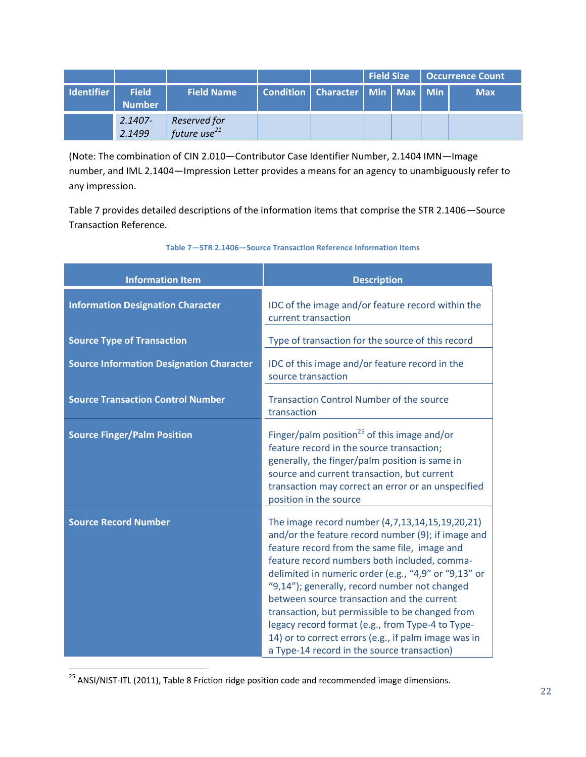|                   |                               |                                          |                                         | <b>Field Size</b> |  | <b>Occurrence Count</b> |
|-------------------|-------------------------------|------------------------------------------|-----------------------------------------|-------------------|--|-------------------------|
| <b>Identifier</b> | <b>Field</b><br><b>Number</b> | <b>Field Name</b>                        | Condition   Character   Min   Max   Min |                   |  | <b>Max</b>              |
|                   | $2.1407 -$<br>2.1499          | Reserved for<br>future use <sup>21</sup> |                                         |                   |  |                         |

(Note: The combination of CIN 2.010—Contributor Case Identifier Number, 2.1404 IMN—Image number, and IML 2.1404—Impression Letter provides a means for an agency to unambiguously refer to any impression.

[Table 7](#page-28-0) provides detailed descriptions of the information items that comprise the STR 2.1406—Source Transaction Reference.

<span id="page-28-0"></span>

| <b>Information Item</b>                         | <b>Description</b>                                                                                                                                                                                                                                                                                                                                                                                                                                                                                                                                                         |
|-------------------------------------------------|----------------------------------------------------------------------------------------------------------------------------------------------------------------------------------------------------------------------------------------------------------------------------------------------------------------------------------------------------------------------------------------------------------------------------------------------------------------------------------------------------------------------------------------------------------------------------|
| <b>Information Designation Character</b>        | IDC of the image and/or feature record within the<br>current transaction                                                                                                                                                                                                                                                                                                                                                                                                                                                                                                   |
| <b>Source Type of Transaction</b>               | Type of transaction for the source of this record                                                                                                                                                                                                                                                                                                                                                                                                                                                                                                                          |
| <b>Source Information Designation Character</b> | IDC of this image and/or feature record in the<br>source transaction                                                                                                                                                                                                                                                                                                                                                                                                                                                                                                       |
| <b>Source Transaction Control Number</b>        | <b>Transaction Control Number of the source</b><br>transaction                                                                                                                                                                                                                                                                                                                                                                                                                                                                                                             |
| <b>Source Finger/Palm Position</b>              | Finger/palm position <sup>25</sup> of this image and/or<br>feature record in the source transaction;<br>generally, the finger/palm position is same in<br>source and current transaction, but current<br>transaction may correct an error or an unspecified<br>position in the source                                                                                                                                                                                                                                                                                      |
| <b>Source Record Number</b>                     | The image record number (4,7,13,14,15,19,20,21)<br>and/or the feature record number (9); if image and<br>feature record from the same file, image and<br>feature record numbers both included, comma-<br>delimited in numeric order (e.g., "4,9" or "9,13" or<br>"9,14"); generally, record number not changed<br>between source transaction and the current<br>transaction, but permissible to be changed from<br>legacy record format (e.g., from Type-4 to Type-<br>14) or to correct errors (e.g., if palm image was in<br>a Type-14 record in the source transaction) |

**Table 7—STR 2.1406—Source Transaction Reference Information Items**

 $\overline{a}$ <sup>25</sup> ANSI/NIST-ITL (2011), Table 8 Friction ridge position code and recommended image dimensions.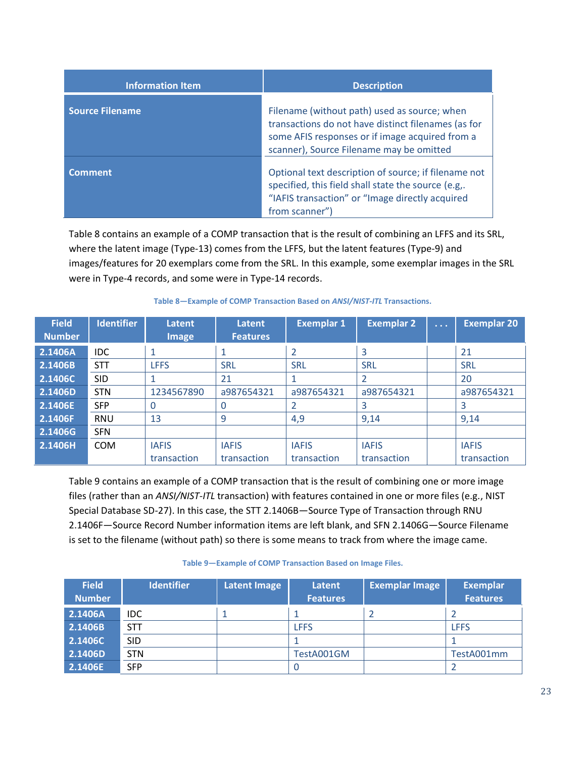| <b>Information Item</b> | <b>Description</b>                                                                                                                                                                                 |
|-------------------------|----------------------------------------------------------------------------------------------------------------------------------------------------------------------------------------------------|
| <b>Source Filename</b>  | Filename (without path) used as source; when<br>transactions do not have distinct filenames (as for<br>some AFIS responses or if image acquired from a<br>scanner), Source Filename may be omitted |
| <b>Comment</b>          | Optional text description of source; if filename not<br>specified, this field shall state the source (e.g<br>"IAFIS transaction" or "Image directly acquired<br>from scanner")                     |

[Table 8](#page-29-0) contains an example of a COMP transaction that is the result of combining an LFFS and its SRL, where the latent image (Type-13) comes from the LFFS, but the latent features (Type-9) and images/features for 20 exemplars come from the SRL. In this example, some exemplar images in the SRL were in Type-4 records, and some were in Type-14 records.

<span id="page-29-0"></span>

| <b>Field</b>  | <b>Identifier</b> | Latent       | Latent          | <b>Exemplar 1</b> | <b>Exemplar 2</b> | $\sim 100$ km s $^{-1}$ | <b>Exemplar 20</b> |
|---------------|-------------------|--------------|-----------------|-------------------|-------------------|-------------------------|--------------------|
| <b>Number</b> |                   | <b>Image</b> | <b>Features</b> |                   |                   |                         |                    |
| 2.1406A       | <b>IDC</b>        |              |                 |                   | 3                 |                         | 21                 |
| 2.1406B       | <b>STT</b>        | <b>LFFS</b>  | <b>SRL</b>      | <b>SRL</b>        | <b>SRL</b>        |                         | <b>SRL</b>         |
| 2.1406C       | <b>SID</b>        |              | 21              |                   |                   |                         | 20                 |
| 2.1406D       | <b>STN</b>        | 1234567890   | a987654321      | a987654321        | a987654321        |                         | a987654321         |
| 2.1406E       | <b>SFP</b>        | 0            | 0               |                   | 3                 |                         | 3                  |
| 2.1406F       | <b>RNU</b>        | 13           | 9               | 4,9               | 9,14              |                         | 9,14               |
| 2.1406G       | <b>SFN</b>        |              |                 |                   |                   |                         |                    |
| 2.1406H       | <b>COM</b>        | <b>IAFIS</b> | <b>IAFIS</b>    | <b>IAFIS</b>      | <b>IAFIS</b>      |                         | <b>IAFIS</b>       |
|               |                   | transaction  | transaction     | transaction       | transaction       |                         | transaction        |

#### **Table 8—Example of COMP Transaction Based on** *ANSI/NIST-ITL* **Transactions.**

[Table 9](#page-29-1) contains an example of a COMP transaction that is the result of combining one or more image files (rather than an *ANSI/NIST-ITL* transaction) with features contained in one or more files (e.g., NIST Special Database SD-27). In this case, the STT 2.1406B—Source Type of Transaction through RNU 2.1406F—Source Record Number information items are left blank, and SFN 2.1406G—Source Filename is set to the filename (without path) so there is some means to track from where the image came.

#### **Table 9—Example of COMP Transaction Based on Image Files.**

<span id="page-29-1"></span>

| <b>Field</b><br><b>Number</b> | <b>Identifier</b> | Latent Image | Latent<br><b>Features</b> | <b>Exemplar Image</b> | <b>Exemplar</b><br><b>Features</b> |
|-------------------------------|-------------------|--------------|---------------------------|-----------------------|------------------------------------|
| 2.1406A                       | IDC.              |              |                           |                       |                                    |
| 2.1406B                       | <b>STT</b>        |              | <b>LFFS</b>               |                       | <b>LFFS</b>                        |
| 2.1406C                       | <b>SID</b>        |              |                           |                       |                                    |
| 2.1406D                       | <b>STN</b>        |              | TestA001GM                |                       | TestA001mm                         |
| 2.1406E                       | <b>SFP</b>        |              |                           |                       |                                    |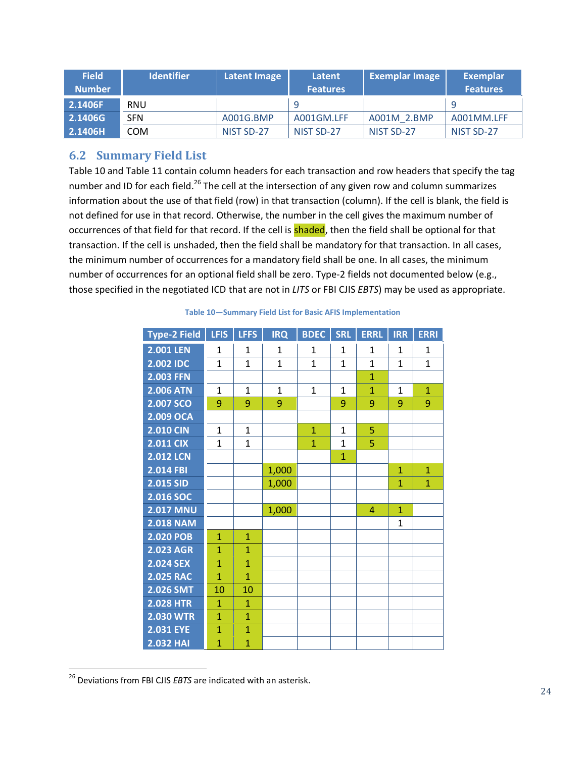| <b>Field</b><br><b>Number</b> | <b>Identifier</b> | Latent Image | Latent<br><b>Features</b> | <b>Exemplar Image</b> | Exemplar<br><b>Features</b> |
|-------------------------------|-------------------|--------------|---------------------------|-----------------------|-----------------------------|
| 2.1406F                       | <b>RNU</b>        |              |                           |                       |                             |
| 2.1406G                       | <b>SFN</b>        | A001G.BMP    | A001GM.LFF                | A001M 2.BMP           | A001MM.LFF                  |
| 2.1406H                       | <b>COM</b>        | NIST SD-27   | NIST SD-27                | NIST SD-27            | NIST SD-27                  |

#### <span id="page-30-0"></span>**6.2 Summary Field List**

[Table 10](#page-30-1) and [Table 11](#page-31-0) contain column headers for each transaction and row headers that specify the tag number and ID for each field.<sup>26</sup> The cell at the intersection of any given row and column summarizes information about the use of that field (row) in that transaction (column). If the cell is blank, the field is not defined for use in that record. Otherwise, the number in the cell gives the maximum number of occurrences of that field for that record. If the cell is **shaded**, then the field shall be optional for that transaction. If the cell is unshaded, then the field shall be mandatory for that transaction. In all cases, the minimum number of occurrences for a mandatory field shall be one. In all cases, the minimum number of occurrences for an optional field shall be zero. Type-2 fields not documented below (e.g., those specified in the negotiated ICD that are not in *LITS* or FBI CJIS *EBTS*) may be used as appropriate.

<span id="page-30-1"></span>

| Type-2 Field     | LFIS           | <b>LFFS</b>    | <b>IRQ</b>   | <b>BDEC</b>  | SRL            | <b>ERRL</b>    | <b>IRR</b>   | <b>ERRI</b>  |
|------------------|----------------|----------------|--------------|--------------|----------------|----------------|--------------|--------------|
| <b>2.001 LEN</b> | $\mathbf{1}$   | $\mathbf{1}$   | $\mathbf{1}$ | $\mathbf{1}$ | $\mathbf{1}$   | $\mathbf{1}$   | $\mathbf{1}$ | $\mathbf{1}$ |
| 2.002 IDC        | $\mathbf{1}$   | $\mathbf{1}$   | $\mathbf{1}$ | $\mathbf{1}$ | $\overline{1}$ | $\mathbf{1}$   | $\mathbf{1}$ | $\mathbf{1}$ |
| <b>2.003 FFN</b> |                |                |              |              |                | $\overline{1}$ |              |              |
| <b>2.006 ATN</b> | $\mathbf{1}$   | $\mathbf{1}$   | $\mathbf{1}$ | $\mathbf{1}$ | $\mathbf{1}$   | $\overline{1}$ | $\mathbf{1}$ | $\mathbf{1}$ |
| 2.007 SCO        | 9              | 9              | 9            |              | 9              | 9              | 9            | 9            |
| 2.009 OCA        |                |                |              |              |                |                |              |              |
| <b>2.010 CIN</b> | $\mathbf{1}$   | $\mathbf{1}$   |              | $\mathbf{1}$ | $\mathbf{1}$   | 5              |              |              |
| <b>2.011 CIX</b> | $\mathbf{1}$   | $\mathbf{1}$   |              | $\mathbf{1}$ | $\overline{1}$ | 5              |              |              |
| <b>2.012 LCN</b> |                |                |              |              | $\overline{1}$ |                |              |              |
| 2.014 FBI        |                |                | 1,000        |              |                |                | $\mathbf{1}$ | $\mathbf{1}$ |
| 2.015 SID        |                |                | 1,000        |              |                |                | $\mathbf{1}$ | $\mathbf{1}$ |
| 2.016 SOC        |                |                |              |              |                |                |              |              |
| <b>2.017 MNU</b> |                |                | 1,000        |              |                | 4              | $\mathbf{1}$ |              |
| <b>2.018 NAM</b> |                |                |              |              |                |                | $\mathbf{1}$ |              |
| <b>2.020 POB</b> | $\mathbf{1}$   | $\mathbf{1}$   |              |              |                |                |              |              |
| <b>2.023 AGR</b> | $\overline{1}$ | $\overline{1}$ |              |              |                |                |              |              |
| <b>2.024 SEX</b> | $\overline{1}$ | $\overline{1}$ |              |              |                |                |              |              |
| <b>2.025 RAC</b> | $\overline{1}$ | $\overline{1}$ |              |              |                |                |              |              |
| 2.026 SMT        | 10             | 10             |              |              |                |                |              |              |
| <b>2.028 HTR</b> | $\mathbf{1}$   | $\mathbf{1}$   |              |              |                |                |              |              |
| <b>2.030 WTR</b> | $\mathbf{1}$   | $\mathbf{1}$   |              |              |                |                |              |              |
| <b>2.031 EYE</b> | $\mathbf{1}$   | $\mathbf{1}$   |              |              |                |                |              |              |
| <b>2.032 HAI</b> | $\mathbf{1}$   | $\overline{1}$ |              |              |                |                |              |              |

#### **Table 10—Summary Field List for Basic AFIS Implementation**

 $\overline{a}$ 

<sup>26</sup> Deviations from FBI CJIS *EBTS* are indicated with an asterisk.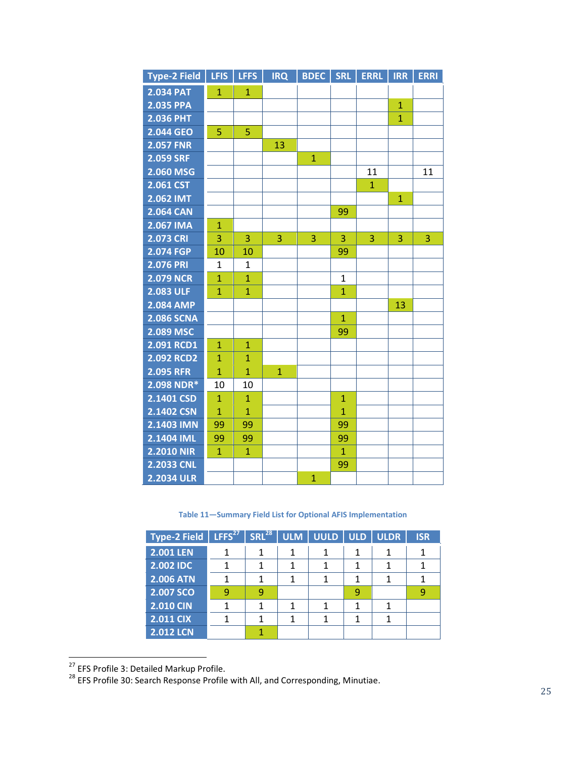| <b>Type-2 Field</b> | <b>LFIS</b>    | <b>LFFS</b>    | <b>IRQ</b>   | <b>BDEC</b>  | <b>SRL</b>     | <b>ERRL</b>    | <b>IRR</b>   | <b>ERRI</b> |
|---------------------|----------------|----------------|--------------|--------------|----------------|----------------|--------------|-------------|
| <b>2.034 PAT</b>    | $\mathbf{1}$   | $\mathbf{1}$   |              |              |                |                |              |             |
| <b>2.035 PPA</b>    |                |                |              |              |                |                | $\mathbf{1}$ |             |
| <b>2.036 PHT</b>    |                |                |              |              |                |                | $\mathbf{1}$ |             |
| 2.044 GEO           | 5              | 5              |              |              |                |                |              |             |
| <b>2.057 FNR</b>    |                |                | 13           |              |                |                |              |             |
| 2.059 SRF           |                |                |              | $\mathbf{1}$ |                |                |              |             |
| 2.060 MSG           |                |                |              |              |                | 11             |              | 11          |
| 2.061 CST           |                |                |              |              |                | $\overline{1}$ |              |             |
| <b>2.062 IMT</b>    |                |                |              |              |                |                | $\mathbf{1}$ |             |
| <b>2.064 CAN</b>    |                |                |              |              | 99             |                |              |             |
| 2.067 IMA           | $\mathbf{1}$   |                |              |              |                |                |              |             |
| <b>2.073 CRI</b>    | $\overline{3}$ | 3              | 3            | 3            | 3              | 3              | 3            | 3           |
| 2.074 FGP           | 10             | 10             |              |              | 99             |                |              |             |
| <b>2.076 PRI</b>    | 1              | $\mathbf{1}$   |              |              |                |                |              |             |
| <b>2.079 NCR</b>    | $\overline{1}$ | $\mathbf{1}$   |              |              | $\mathbf{1}$   |                |              |             |
| <b>2.083 ULF</b>    | $\overline{1}$ | $\overline{1}$ |              |              | $\overline{1}$ |                |              |             |
| <b>2.084 AMP</b>    |                |                |              |              |                |                | 13           |             |
| <b>2.086 SCNA</b>   |                |                |              |              | $\overline{1}$ |                |              |             |
| 2.089 MSC           |                |                |              |              | 99             |                |              |             |
| 2.091 RCD1          | $\mathbf{1}$   | $\mathbf{1}$   |              |              |                |                |              |             |
| 2.092 RCD2          | $\mathbf{1}$   | $\mathbf{1}$   |              |              |                |                |              |             |
| <b>2.095 RFR</b>    | $\overline{1}$ | $\mathbf{1}$   | $\mathbf{1}$ |              |                |                |              |             |
| $2.098$ NDR*        | 10             | 10             |              |              |                |                |              |             |
| 2.1401 CSD          | $\mathbf{1}$   | $\mathbf{1}$   |              |              | $\mathbf{1}$   |                |              |             |
| 2.1402 CSN          | $\overline{1}$ | $\overline{1}$ |              |              | $\overline{1}$ |                |              |             |
| 2.1403 IMN          | 99             | 99             |              |              | 99             |                |              |             |
| 2.1404 IML          | 99             | 99             |              |              | 99             |                |              |             |
| <b>2.2010 NIR</b>   | $\mathbf{1}$   | $\mathbf{1}$   |              |              | $\mathbf{1}$   |                |              |             |
| 2.2033 CNL          |                |                |              |              | 99             |                |              |             |
| <b>2.2034 ULR</b>   |                |                |              | $\mathbf{1}$ |                |                |              |             |

**Table 11—Summary Field List for Optional AFIS Implementation**

<span id="page-31-0"></span>

| Type-2 Field     | LFFS <sup>27</sup> | $SRL^{28}$ | <b>ULM</b> | <b>UULD</b> | <b>ULD</b> | <b>ULDR</b> | <b>ISR</b> |
|------------------|--------------------|------------|------------|-------------|------------|-------------|------------|
| <b>2.001 LEN</b> |                    |            |            |             |            |             |            |
| 2.002 IDC        |                    |            |            |             |            |             |            |
| <b>2.006 ATN</b> |                    |            |            |             |            |             |            |
| 2.007 SCO        | ٩                  | ٩          |            |             | 9          |             | q          |
| <b>2.010 CIN</b> |                    |            |            |             |            |             |            |
| <b>2.011 CIX</b> |                    |            |            |             |            |             |            |
| <b>2.012 LCN</b> |                    |            |            |             |            |             |            |

<sup>&</sup>lt;sup>27</sup> EFS Profile 3: Detailed Markup Profile.

 $\overline{a}$ 

 $^{28}$  EFS Profile 30: Search Response Profile with All, and Corresponding, Minutiae.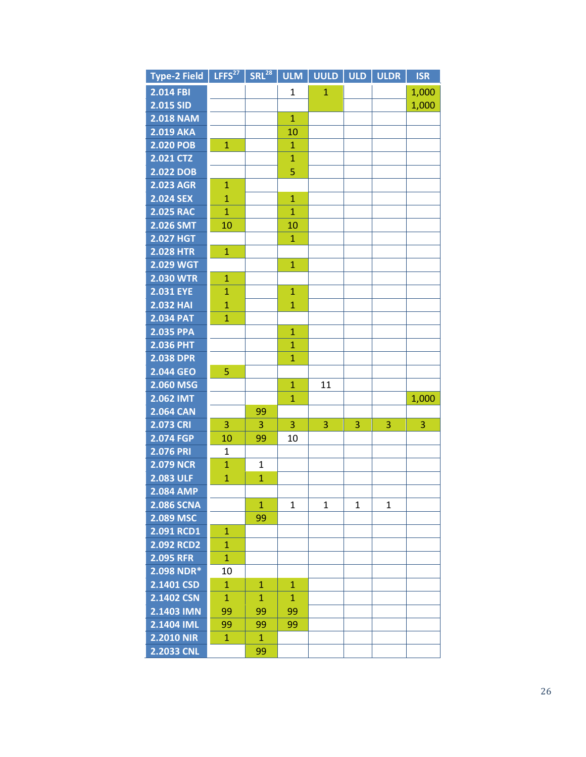| <b>Type-2 Field</b> | LFFS $^{27}$   | $SRL^{28}$   | <b>ULM</b>   | <b>UULD</b>  | <b>ULD</b>     | <b>ULDR</b> | <b>ISR</b> |
|---------------------|----------------|--------------|--------------|--------------|----------------|-------------|------------|
| 2.014 FBI           |                |              | 1            | $\mathbf{1}$ |                |             | 1,000      |
| 2.015 SID           |                |              |              |              |                |             | 1,000      |
| <b>2.018 NAM</b>    |                |              | $\mathbf{1}$ |              |                |             |            |
| <b>2.019 AKA</b>    |                |              | 10           |              |                |             |            |
| <b>2.020 POB</b>    | $\mathbf{1}$   |              | 1            |              |                |             |            |
| 2.021 CTZ           |                |              | $\mathbf{1}$ |              |                |             |            |
| 2.022 DOB           |                |              | 5            |              |                |             |            |
| <b>2.023 AGR</b>    | 1              |              |              |              |                |             |            |
| 2.024 SEX           | $\mathbf{1}$   |              | $\mathbf{1}$ |              |                |             |            |
| <b>2.025 RAC</b>    | $\mathbf{1}$   |              | $\mathbf{1}$ |              |                |             |            |
| 2.026 SMT           | 10             |              | 10           |              |                |             |            |
| <b>2.027 HGT</b>    |                |              | $\mathbf{1}$ |              |                |             |            |
| <b>2.028 HTR</b>    | $\mathbf{1}$   |              |              |              |                |             |            |
| <b>2.029 WGT</b>    |                |              | $\mathbf{1}$ |              |                |             |            |
| <b>2.030 WTR</b>    | 1              |              |              |              |                |             |            |
| <b>2.031 EYE</b>    | $\mathbf{1}$   |              | $\mathbf{1}$ |              |                |             |            |
| <b>2.032 HAI</b>    | $\overline{1}$ |              | $\mathbf{1}$ |              |                |             |            |
| <b>2.034 PAT</b>    | $\mathbf{1}$   |              |              |              |                |             |            |
| 2.035 PPA           |                |              | $\mathbf{1}$ |              |                |             |            |
| <b>2.036 PHT</b>    |                |              | $\mathbf{1}$ |              |                |             |            |
| <b>2.038 DPR</b>    |                |              | $\mathbf{1}$ |              |                |             |            |
| 2.044 GEO           | 5              |              |              |              |                |             |            |
| 2.060 MSG           |                |              | $\mathbf{1}$ | 11           |                |             |            |
| 2.062 IMT           |                |              | 1            |              |                |             | 1,000      |
| <b>2.064 CAN</b>    |                | 99           |              |              |                |             |            |
| <b>2.073 CRI</b>    | 3              | 3            | 3            | 3            | $\overline{3}$ | 3           | 3          |
| 2.074 FGP           | 10             | 99           | 10           |              |                |             |            |
| <b>2.076 PRI</b>    | $\mathbf{1}$   |              |              |              |                |             |            |
| <b>2.079 NCR</b>    | $\mathbf{1}$   | $\mathbf{1}$ |              |              |                |             |            |
| <b>2.083 ULF</b>    | $\overline{1}$ | $\mathbf{1}$ |              |              |                |             |            |
| <b>2.084 AMP</b>    |                |              |              |              |                |             |            |
| <b>2.086 SCNA</b>   |                | $\mathbf{1}$ | 1            | 1            | 1              | 1           |            |
| 2.089 MSC           |                | 99           |              |              |                |             |            |
| 2.091 RCD1          | $\mathbf{1}$   |              |              |              |                |             |            |
| 2.092 RCD2          | $\mathbf{1}$   |              |              |              |                |             |            |
| <b>2.095 RFR</b>    | $\mathbf{1}$   |              |              |              |                |             |            |
| 2.098 NDR*          | 10             |              |              |              |                |             |            |
| 2.1401 CSD          | $\mathbf{1}$   | $\mathbf{1}$ | $\mathbf{1}$ |              |                |             |            |
| 2.1402 CSN          | $\mathbf{1}$   | $\mathbf{1}$ | $\mathbf{1}$ |              |                |             |            |
| 2.1403 IMN          | 99             | 99           | 99           |              |                |             |            |
| 2.1404 IML          | 99             | 99           | 99           |              |                |             |            |
| <b>2.2010 NIR</b>   | $\mathbf{1}$   | $\mathbf{1}$ |              |              |                |             |            |
| 2.2033 CNL          |                | 99           |              |              |                |             |            |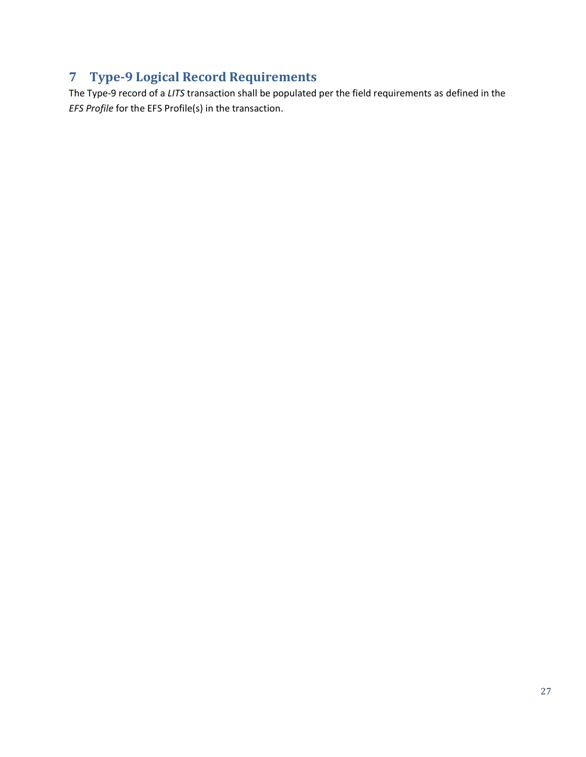## <span id="page-33-0"></span>**7 Type-9 Logical Record Requirements**

The Type-9 record of a *LITS* transaction shall be populated per the field requirements as defined in the *EFS Profile* for the EFS Profile(s) in the transaction.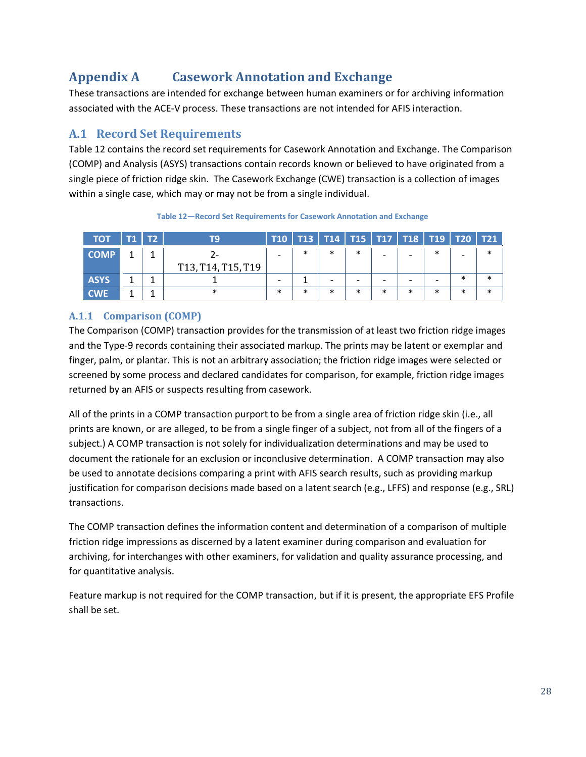## <span id="page-34-0"></span>**Appendix A Casework Annotation and Exchange**

These transactions are intended for exchange between human examiners or for archiving information associated with the ACE-V process. These transactions are not intended for AFIS interaction.

#### <span id="page-34-1"></span>**A.1 Record Set Requirements**

[Table 12](#page-34-3) contains the record set requirements for Casework Annotation and Exchange. The Comparison (COMP) and Analysis (ASYS) transactions contain records known or believed to have originated from a single piece of friction ridge skin. The Casework Exchange (CWE) transaction is a collection of images within a single case, which may or may not be from a single individual.

<span id="page-34-3"></span>

| <b>TOT</b>  | T1   T2 | тq                                                                    |        |        |        |        |        | T10   T13   T14   T15   T17   T18   T19   T20   T21 |   |        |  |
|-------------|---------|-----------------------------------------------------------------------|--------|--------|--------|--------|--------|-----------------------------------------------------|---|--------|--|
| <b>COMP</b> | 1       |                                                                       |        | ∗      | $\ast$ | $\ast$ |        |                                                     |   |        |  |
|             |         | T <sub>13</sub> , T <sub>14</sub> , T <sub>15</sub> , T <sub>19</sub> |        |        |        |        |        |                                                     |   |        |  |
| <b>ASYS</b> |         |                                                                       |        |        |        |        |        |                                                     |   | $\ast$ |  |
| <b>CWE</b>  |         |                                                                       | $\ast$ | $\ast$ | $\ast$ | $\ast$ | $\ast$ | $\ast$                                              | ж | $\ast$ |  |

**Table 12—Record Set Requirements for Casework Annotation and Exchange**

#### <span id="page-34-2"></span>**A.1.1 Comparison (COMP)**

The Comparison (COMP) transaction provides for the transmission of at least two friction ridge images and the Type-9 records containing their associated markup. The prints may be latent or exemplar and finger, palm, or plantar. This is not an arbitrary association; the friction ridge images were selected or screened by some process and declared candidates for comparison, for example, friction ridge images returned by an AFIS or suspects resulting from casework.

All of the prints in a COMP transaction purport to be from a single area of friction ridge skin (i.e., all prints are known, or are alleged, to be from a single finger of a subject, not from all of the fingers of a subject.) A COMP transaction is not solely for individualization determinations and may be used to document the rationale for an exclusion or inconclusive determination. A COMP transaction may also be used to annotate decisions comparing a print with AFIS search results, such as providing markup justification for comparison decisions made based on a latent search (e.g., LFFS) and response (e.g., SRL) transactions.

The COMP transaction defines the information content and determination of a comparison of multiple friction ridge impressions as discerned by a latent examiner during comparison and evaluation for archiving, for interchanges with other examiners, for validation and quality assurance processing, and for quantitative analysis.

Feature markup is not required for the COMP transaction, but if it is present, the appropriate EFS Profile shall be set.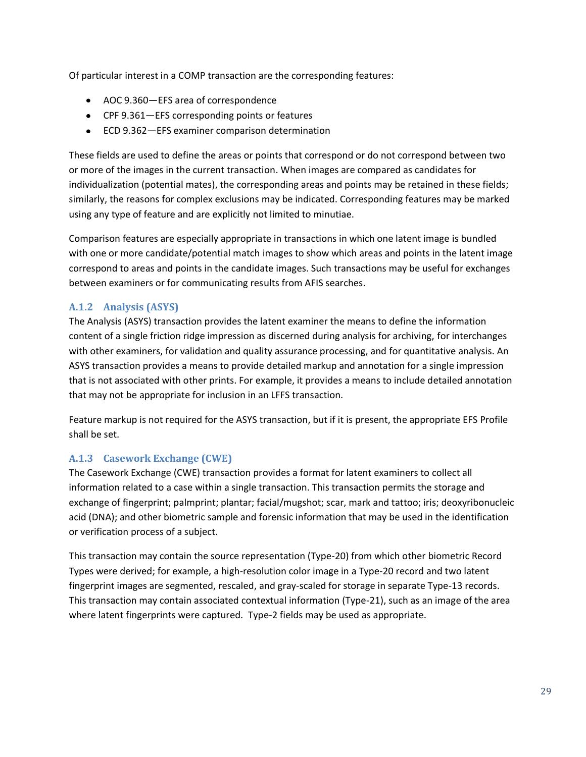Of particular interest in a COMP transaction are the corresponding features:

- AOC 9.360—EFS area of correspondence
- CPF 9.361—EFS corresponding points or features
- ECD 9.362—EFS examiner comparison determination

These fields are used to define the areas or points that correspond or do not correspond between two or more of the images in the current transaction. When images are compared as candidates for individualization (potential mates), the corresponding areas and points may be retained in these fields; similarly, the reasons for complex exclusions may be indicated. Corresponding features may be marked using any type of feature and are explicitly not limited to minutiae.

Comparison features are especially appropriate in transactions in which one latent image is bundled with one or more candidate/potential match images to show which areas and points in the latent image correspond to areas and points in the candidate images. Such transactions may be useful for exchanges between examiners or for communicating results from AFIS searches.

#### <span id="page-35-0"></span>**A.1.2 Analysis (ASYS)**

The Analysis (ASYS) transaction provides the latent examiner the means to define the information content of a single friction ridge impression as discerned during analysis for archiving, for interchanges with other examiners, for validation and quality assurance processing, and for quantitative analysis. An ASYS transaction provides a means to provide detailed markup and annotation for a single impression that is not associated with other prints. For example, it provides a means to include detailed annotation that may not be appropriate for inclusion in an LFFS transaction.

Feature markup is not required for the ASYS transaction, but if it is present, the appropriate EFS Profile shall be set.

#### <span id="page-35-1"></span>**A.1.3 Casework Exchange (CWE)**

The Casework Exchange (CWE) transaction provides a format for latent examiners to collect all information related to a case within a single transaction. This transaction permits the storage and exchange of fingerprint; palmprint; plantar; facial/mugshot; scar, mark and tattoo; iris; deoxyribonucleic acid (DNA); and other biometric sample and forensic information that may be used in the identification or verification process of a subject.

This transaction may contain the source representation (Type-20) from which other biometric Record Types were derived; for example, a high-resolution color image in a Type-20 record and two latent fingerprint images are segmented, rescaled, and gray-scaled for storage in separate Type-13 records. This transaction may contain associated contextual information (Type-21), such as an image of the area where latent fingerprints were captured. Type-2 fields may be used as appropriate.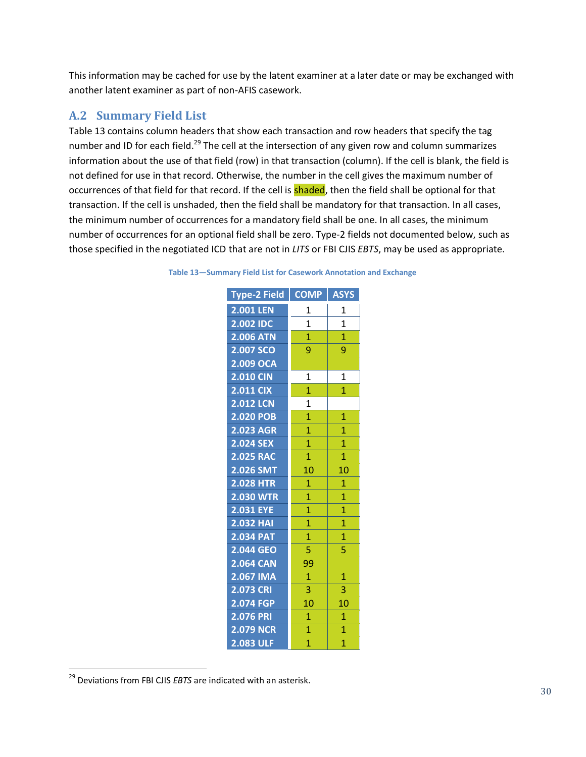This information may be cached for use by the latent examiner at a later date or may be exchanged with another latent examiner as part of non-AFIS casework.

#### <span id="page-36-0"></span>**A.2 Summary Field List**

[Table 13](#page-36-1) contains column headers that show each transaction and row headers that specify the tag number and ID for each field.<sup>29</sup> The cell at the intersection of any given row and column summarizes information about the use of that field (row) in that transaction (column). If the cell is blank, the field is not defined for use in that record. Otherwise, the number in the cell gives the maximum number of occurrences of that field for that record. If the cell is **shaded**, then the field shall be optional for that transaction. If the cell is unshaded, then the field shall be mandatory for that transaction. In all cases, the minimum number of occurrences for a mandatory field shall be one. In all cases, the minimum number of occurrences for an optional field shall be zero. Type-2 fields not documented below, such as those specified in the negotiated ICD that are not in *LITS* or FBI CJIS *EBTS*, may be used as appropriate.

| Type-2 Field     | <b>COMP</b>    | <b>ASYS</b>    |
|------------------|----------------|----------------|
| 2.001 LEN        | 1              | 1              |
| 2.002 IDC        | $\overline{1}$ | $\overline{1}$ |
| <b>2.006 ATN</b> | $\overline{1}$ | $\overline{1}$ |
| 2.007 SCO        | 9              | 9              |
| 2.009 OCA        |                |                |
| <b>2.010 CIN</b> | $\overline{1}$ | $\overline{1}$ |
| <b>2.011 CIX</b> | $\overline{1}$ | $\overline{1}$ |
| <b>2.012 LCN</b> | $\overline{1}$ |                |
| 2.020 POB        | $\overline{1}$ | 1              |
| 2.023 AGR        | $\overline{1}$ | $\overline{1}$ |
| 2.024 SEX        | $\overline{1}$ | $\overline{1}$ |
| <b>2.025 RAC</b> | $\overline{1}$ | $\overline{1}$ |
| 2.026 SMT        | 10             | 10             |
| <b>2.028 HTR</b> | $\mathbf{1}$   | $\overline{1}$ |
| <b>2.030 WTR</b> | $\overline{1}$ | $\overline{1}$ |
| <b>2.031 EYE</b> | $\overline{1}$ | $\overline{1}$ |
| <b>2.032 HAI</b> | $\overline{1}$ | $\mathbf{1}$   |
| <b>2.034 PAT</b> | $\overline{1}$ | $\overline{1}$ |
| 2.044 GEO        | 5              | 5              |
| <b>2.064 CAN</b> | 99             |                |
| 2.067 IMA        | $\mathbf{1}$   | $\overline{1}$ |
| 2.073 CRI        | 3              | 3              |
| 2.074 FGP        | 10             | 10             |
| 2.076 PRI        | 1              | $\overline{1}$ |
| <b>2.079 NCR</b> | $\overline{1}$ | $\overline{1}$ |
| 2.083 ULF        | $\overline{1}$ | $\overline{1}$ |

<span id="page-36-1"></span>

| Table 13-Summary Field List for Casework Annotation and Exchange |  |  |  |  |  |  |  |
|------------------------------------------------------------------|--|--|--|--|--|--|--|
|------------------------------------------------------------------|--|--|--|--|--|--|--|

 $\overline{a}$ 

<sup>29</sup> Deviations from FBI CJIS *EBTS* are indicated with an asterisk.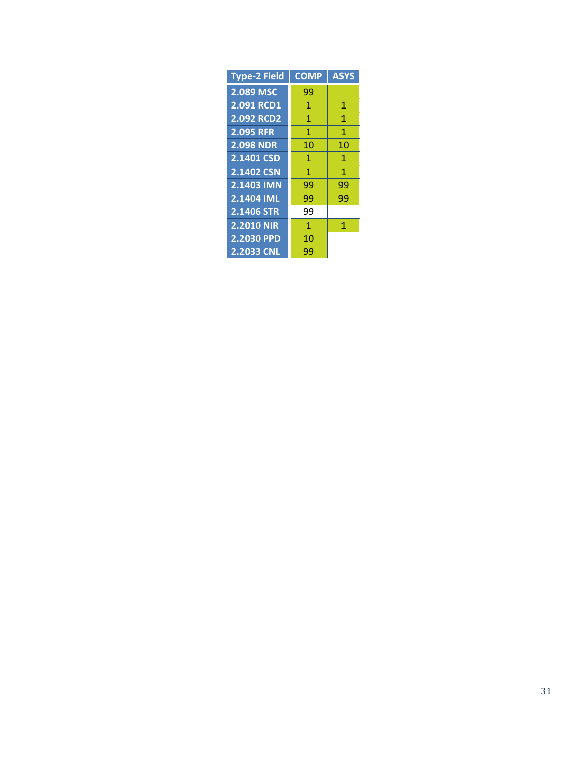| <b>Type-2 Field</b> | <b>COMP</b>  | <b>ASYS</b> |
|---------------------|--------------|-------------|
| 2.089 MSC           | 99           |             |
| 2.091 RCD1          | 1            | 1           |
| <b>2.092 RCD2</b>   | 1            | 1           |
| <b>2.095 RFR</b>    | 1            | 1           |
| <b>2.098 NDR</b>    | 10           | 10          |
| 2.1401 CSD          | 1            | 1           |
| 2.1402 CSN          | 1            | 1           |
| 2.1403 IMN          | 99           | 99          |
| 2.1404 IML          | 99           | 99          |
| 2.1406 STR          | 99           |             |
| <b>2.2010 NIR</b>   | $\mathbf{1}$ | $\mathbf 1$ |
| 2.2030 PPD          | 10           |             |
| <b>2.2033 CNL</b>   | 99           |             |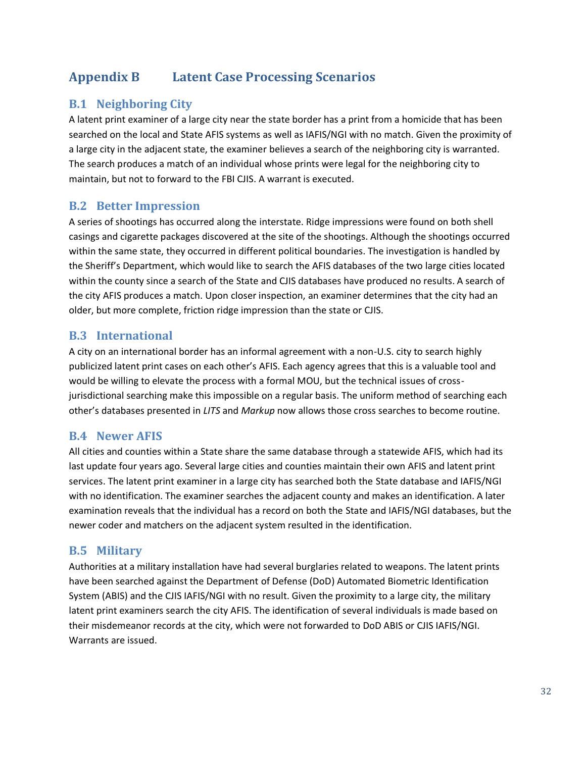## <span id="page-38-0"></span>**Appendix B Latent Case Processing Scenarios**

#### <span id="page-38-1"></span>**B.1 Neighboring City**

A latent print examiner of a large city near the state border has a print from a homicide that has been searched on the local and State AFIS systems as well as IAFIS/NGI with no match. Given the proximity of a large city in the adjacent state, the examiner believes a search of the neighboring city is warranted. The search produces a match of an individual whose prints were legal for the neighboring city to maintain, but not to forward to the FBI CJIS. A warrant is executed.

#### <span id="page-38-2"></span>**B.2 Better Impression**

A series of shootings has occurred along the interstate. Ridge impressions were found on both shell casings and cigarette packages discovered at the site of the shootings. Although the shootings occurred within the same state, they occurred in different political boundaries. The investigation is handled by the Sheriff's Department, which would like to search the AFIS databases of the two large cities located within the county since a search of the State and CJIS databases have produced no results. A search of the city AFIS produces a match. Upon closer inspection, an examiner determines that the city had an older, but more complete, friction ridge impression than the state or CJIS.

#### <span id="page-38-3"></span>**B.3 International**

A city on an international border has an informal agreement with a non-U.S. city to search highly publicized latent print cases on each other's AFIS. Each agency agrees that this is a valuable tool and would be willing to elevate the process with a formal MOU, but the technical issues of crossjurisdictional searching make this impossible on a regular basis. The uniform method of searching each other's databases presented in *LITS* and *Markup* now allows those cross searches to become routine.

#### <span id="page-38-4"></span>**B.4 Newer AFIS**

All cities and counties within a State share the same database through a statewide AFIS, which had its last update four years ago. Several large cities and counties maintain their own AFIS and latent print services. The latent print examiner in a large city has searched both the State database and IAFIS/NGI with no identification. The examiner searches the adjacent county and makes an identification. A later examination reveals that the individual has a record on both the State and IAFIS/NGI databases, but the newer coder and matchers on the adjacent system resulted in the identification.

#### <span id="page-38-5"></span>**B.5 Military**

Authorities at a military installation have had several burglaries related to weapons. The latent prints have been searched against the Department of Defense (DoD) Automated Biometric Identification System (ABIS) and the CJIS IAFIS/NGI with no result. Given the proximity to a large city, the military latent print examiners search the city AFIS. The identification of several individuals is made based on their misdemeanor records at the city, which were not forwarded to DoD ABIS or CJIS IAFIS/NGI. Warrants are issued.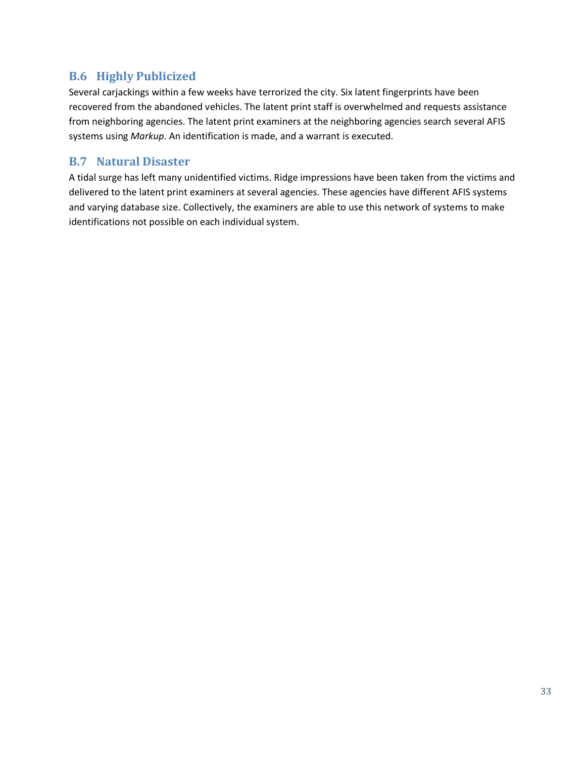#### <span id="page-39-0"></span>**B.6 Highly Publicized**

Several carjackings within a few weeks have terrorized the city. Six latent fingerprints have been recovered from the abandoned vehicles. The latent print staff is overwhelmed and requests assistance from neighboring agencies. The latent print examiners at the neighboring agencies search several AFIS systems using *Markup*. An identification is made, and a warrant is executed.

#### <span id="page-39-1"></span>**B.7 Natural Disaster**

A tidal surge has left many unidentified victims. Ridge impressions have been taken from the victims and delivered to the latent print examiners at several agencies. These agencies have different AFIS systems and varying database size. Collectively, the examiners are able to use this network of systems to make identifications not possible on each individual system.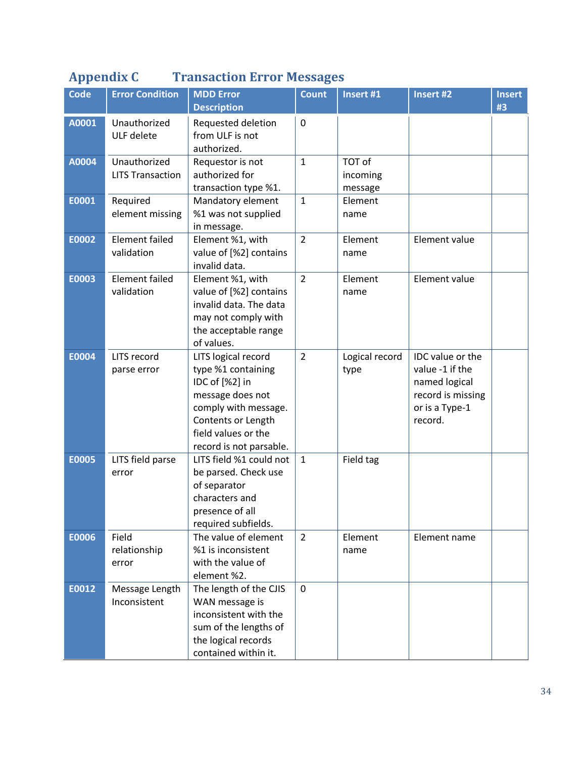## <span id="page-40-0"></span>**Appendix C Transaction Error Messages**

| <b>Code</b>  | <b>Error Condition</b>                  | <b>MDD Error</b><br><b>Description</b>                                                                                                                                          | <b>Count</b>   | Insert #1                     | Insert #2                                                                                              | <b>Insert</b><br>#3 |
|--------------|-----------------------------------------|---------------------------------------------------------------------------------------------------------------------------------------------------------------------------------|----------------|-------------------------------|--------------------------------------------------------------------------------------------------------|---------------------|
| A0001        | Unauthorized<br>ULF delete              | Requested deletion<br>from ULF is not<br>authorized.                                                                                                                            | $\mathbf 0$    |                               |                                                                                                        |                     |
| A0004        | Unauthorized<br><b>LITS Transaction</b> | Requestor is not<br>authorized for<br>transaction type %1.                                                                                                                      | $\mathbf 1$    | TOT of<br>incoming<br>message |                                                                                                        |                     |
| E0001        | Required<br>element missing             | Mandatory element<br>%1 was not supplied<br>in message.                                                                                                                         | $\mathbf{1}$   | Element<br>name               |                                                                                                        |                     |
| E0002        | <b>Element failed</b><br>validation     | Element %1, with<br>value of [%2] contains<br>invalid data.                                                                                                                     | $\overline{2}$ | Element<br>name               | Element value                                                                                          |                     |
| E0003        | <b>Element failed</b><br>validation     | Element %1, with<br>value of [%2] contains<br>invalid data. The data<br>may not comply with<br>the acceptable range<br>of values.                                               | $\overline{2}$ | Element<br>name               | Element value                                                                                          |                     |
| E0004        | LITS record<br>parse error              | LITS logical record<br>type %1 containing<br>IDC of [%2] in<br>message does not<br>comply with message.<br>Contents or Length<br>field values or the<br>record is not parsable. | $\overline{2}$ | Logical record<br>type        | IDC value or the<br>value -1 if the<br>named logical<br>record is missing<br>or is a Type-1<br>record. |                     |
| <b>E0005</b> | LITS field parse<br>error               | LITS field %1 could not<br>be parsed. Check use<br>of separator<br>characters and<br>presence of all<br>required subfields.                                                     | $\mathbf{1}$   | Field tag                     |                                                                                                        |                     |
| E0006        | Field<br>relationship<br>error          | The value of element<br>%1 is inconsistent<br>with the value of<br>element %2.                                                                                                  | $\overline{2}$ | Element<br>name               | Element name                                                                                           |                     |
| E0012        | Message Length<br>Inconsistent          | The length of the CJIS<br>WAN message is<br>inconsistent with the<br>sum of the lengths of<br>the logical records<br>contained within it.                                       | $\mathbf 0$    |                               |                                                                                                        |                     |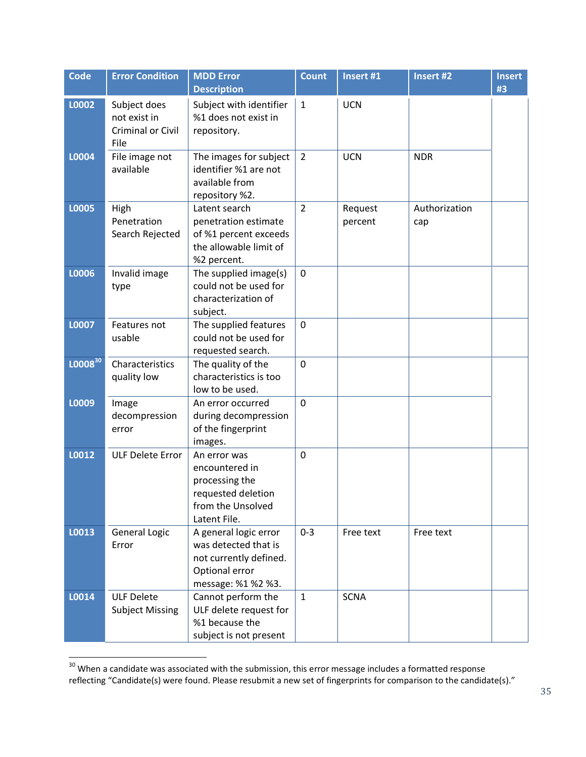| <b>Code</b>  | <b>Error Condition</b>                                    | <b>MDD Error</b><br><b>Description</b>                                                                          | <b>Count</b>   | Insert #1          | Insert #2            | <b>Insert</b><br>#3 |
|--------------|-----------------------------------------------------------|-----------------------------------------------------------------------------------------------------------------|----------------|--------------------|----------------------|---------------------|
| L0002        | Subject does<br>not exist in<br>Criminal or Civil<br>File | Subject with identifier<br>%1 does not exist in<br>repository.                                                  | $\mathbf{1}$   | <b>UCN</b>         |                      |                     |
| L0004        | File image not<br>available                               | The images for subject<br>identifier %1 are not<br>available from<br>repository %2.                             | $\overline{2}$ | <b>UCN</b>         | <b>NDR</b>           |                     |
| L0005        | High<br>Penetration<br>Search Rejected                    | Latent search<br>penetration estimate<br>of %1 percent exceeds<br>the allowable limit of<br>%2 percent.         | $\overline{2}$ | Request<br>percent | Authorization<br>cap |                     |
| L0006        | Invalid image<br>type                                     | The supplied image(s)<br>could not be used for<br>characterization of<br>subject.                               | $\mathbf 0$    |                    |                      |                     |
| L0007        | Features not<br>usable                                    | The supplied features<br>could not be used for<br>requested search.                                             | $\mathbf 0$    |                    |                      |                     |
| $L0008^{30}$ | Characteristics<br>quality low                            | The quality of the<br>characteristics is too<br>low to be used.                                                 | $\mathbf 0$    |                    |                      |                     |
| L0009        | Image<br>decompression<br>error                           | An error occurred<br>during decompression<br>of the fingerprint<br>images.                                      | $\overline{0}$ |                    |                      |                     |
| L0012        | <b>ULF Delete Error</b>                                   | An error was<br>encountered in<br>processing the<br>requested deletion<br>from the Unsolved<br>Latent File.     | $\mathbf 0$    |                    |                      |                     |
| L0013        | <b>General Logic</b><br>Error                             | A general logic error<br>was detected that is<br>not currently defined.<br>Optional error<br>message: %1 %2 %3. | $0 - 3$        | Free text          | Free text            |                     |
| L0014        | <b>ULF Delete</b><br><b>Subject Missing</b>               | Cannot perform the<br>ULF delete request for<br>%1 because the<br>subject is not present                        | $\mathbf{1}$   | <b>SCNA</b>        |                      |                     |

 $30$  When a candidate was associated with the submission, this error message includes a formatted response reflecting "Candidate(s) were found. Please resubmit a new set of fingerprints for comparison to the candidate(s)."

 $\overline{a}$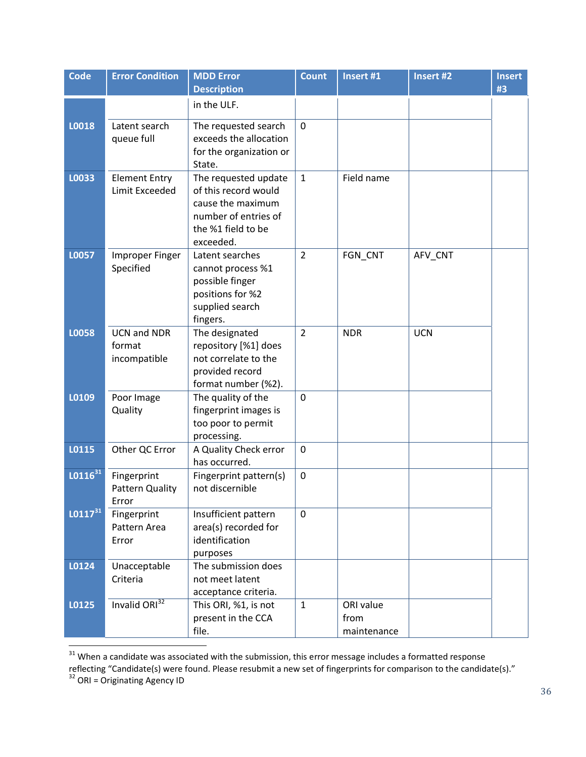| Code         | <b>Error Condition</b>                       | <b>MDD Error</b><br><b>Description</b>                                                                                       | <b>Count</b>   | Insert #1                        | Insert #2  | <b>Insert</b> |
|--------------|----------------------------------------------|------------------------------------------------------------------------------------------------------------------------------|----------------|----------------------------------|------------|---------------|
|              |                                              |                                                                                                                              |                |                                  |            | #3            |
|              |                                              | in the ULF.                                                                                                                  |                |                                  |            |               |
| L0018        | Latent search<br>queue full                  | The requested search<br>exceeds the allocation<br>for the organization or<br>State.                                          | $\mathbf 0$    |                                  |            |               |
| L0033        | <b>Element Entry</b><br>Limit Exceeded       | The requested update<br>of this record would<br>cause the maximum<br>number of entries of<br>the %1 field to be<br>exceeded. | $\mathbf{1}$   | Field name                       |            |               |
| L0057        | <b>Improper Finger</b><br>Specified          | Latent searches<br>cannot process %1<br>possible finger<br>positions for %2<br>supplied search<br>fingers.                   | $\overline{2}$ | FGN_CNT                          | AFV_CNT    |               |
| L0058        | <b>UCN and NDR</b><br>format<br>incompatible | The designated<br>repository [%1] does<br>not correlate to the<br>provided record<br>format number (%2).                     | $\overline{2}$ | <b>NDR</b>                       | <b>UCN</b> |               |
| L0109        | Poor Image<br>Quality                        | The quality of the<br>fingerprint images is<br>too poor to permit<br>processing.                                             | $\mathbf 0$    |                                  |            |               |
| L0115        | Other QC Error                               | A Quality Check error<br>has occurred.                                                                                       | $\mathbf 0$    |                                  |            |               |
| $L0116^{31}$ | Fingerprint<br>Pattern Quality<br>Error      | Fingerprint pattern(s)<br>not discernible                                                                                    | $\mathbf 0$    |                                  |            |               |
| $LO117^{31}$ | Fingerprint<br>Pattern Area<br>Error         | Insufficient pattern<br>area(s) recorded for<br>identification<br>purposes                                                   | $\mathbf 0$    |                                  |            |               |
| L0124        | Unacceptable<br>Criteria                     | The submission does<br>not meet latent<br>acceptance criteria.                                                               |                |                                  |            |               |
| L0125        | Invalid ORI <sup>32</sup>                    | This ORI, %1, is not<br>present in the CCA<br>file.                                                                          | $\mathbf{1}$   | ORI value<br>from<br>maintenance |            |               |

 $31$  When a candidate was associated with the submission, this error message includes a formatted response

<span id="page-42-0"></span>l

reflecting "Candidate(s) were found. Please resubmit a new set of fingerprints for comparison to the candidate(s)."

<sup>&</sup>lt;sup>32</sup> ORI = Originating Agency ID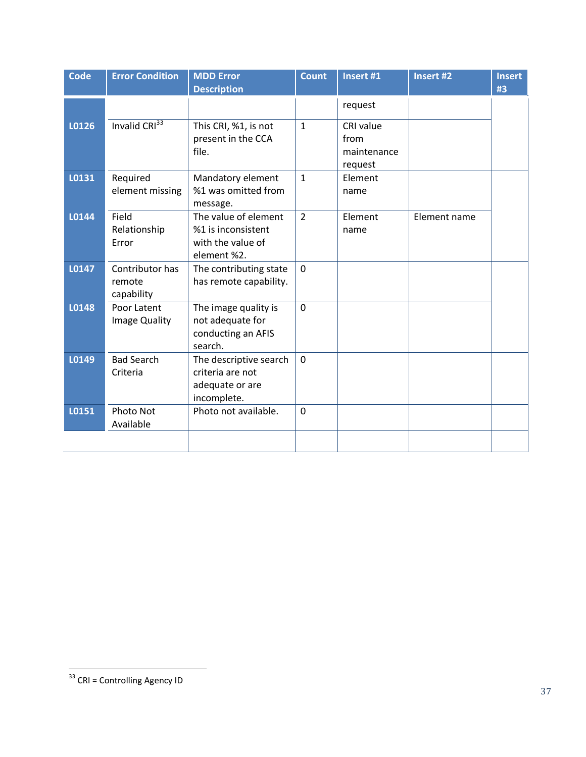| Code  | <b>Error Condition</b>    | <b>MDD Error</b>       | <b>Count</b>   | Insert #1   | <b>Insert #2</b> | <b>Insert</b> |
|-------|---------------------------|------------------------|----------------|-------------|------------------|---------------|
|       |                           | <b>Description</b>     |                |             |                  | #3            |
|       |                           |                        |                | request     |                  |               |
| L0126 | Invalid CRI <sup>33</sup> | This CRI, %1, is not   | $\mathbf{1}$   | CRI value   |                  |               |
|       |                           | present in the CCA     |                | from        |                  |               |
|       |                           | file.                  |                | maintenance |                  |               |
|       |                           |                        |                | request     |                  |               |
| L0131 | Required                  | Mandatory element      | $\mathbf{1}$   | Element     |                  |               |
|       | element missing           | %1 was omitted from    |                | name        |                  |               |
|       |                           | message.               |                |             |                  |               |
| L0144 | Field                     | The value of element   | $\overline{2}$ | Element     | Element name     |               |
|       | Relationship              | %1 is inconsistent     |                | name        |                  |               |
|       | Error                     | with the value of      |                |             |                  |               |
|       |                           | element %2.            |                |             |                  |               |
| L0147 | Contributor has           | The contributing state | $\mathbf 0$    |             |                  |               |
|       | remote                    | has remote capability. |                |             |                  |               |
|       | capability                |                        |                |             |                  |               |
| L0148 | Poor Latent               | The image quality is   | $\mathbf 0$    |             |                  |               |
|       | Image Quality             | not adequate for       |                |             |                  |               |
|       |                           | conducting an AFIS     |                |             |                  |               |
|       |                           | search.                |                |             |                  |               |
| L0149 | <b>Bad Search</b>         | The descriptive search | $\overline{0}$ |             |                  |               |
|       | Criteria                  | criteria are not       |                |             |                  |               |
|       |                           | adequate or are        |                |             |                  |               |
|       |                           | incomplete.            |                |             |                  |               |
| L0151 | Photo Not                 | Photo not available.   | $\mathbf 0$    |             |                  |               |
|       | Available                 |                        |                |             |                  |               |
|       |                           |                        |                |             |                  |               |
|       |                           |                        |                |             |                  |               |

 $\overline{a}$ 

<sup>&</sup>lt;sup>33</sup> CRI = Controlling Agency ID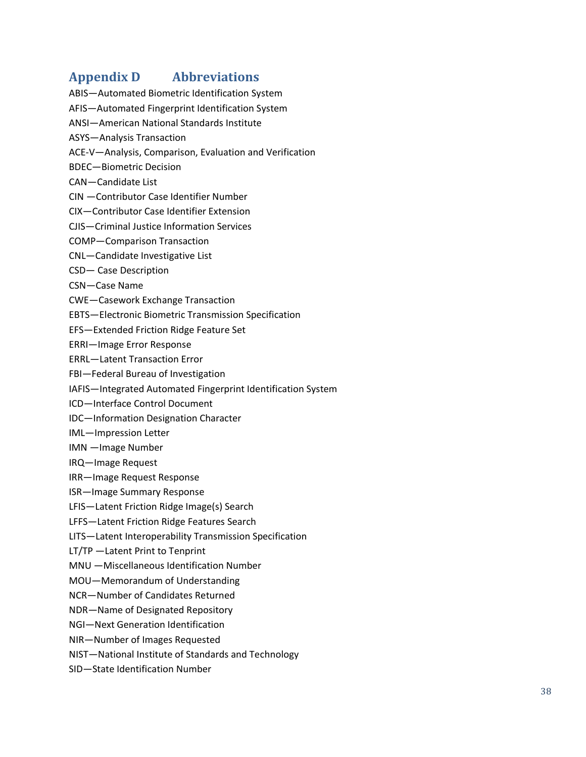### <span id="page-44-0"></span>**Appendix D Abbreviations**

- ABIS—Automated Biometric Identification System
- AFIS—Automated Fingerprint Identification System
- ANSI—American National Standards Institute
- ASYS—Analysis Transaction
- ACE-V—Analysis, Comparison, Evaluation and Verification
- BDEC—Biometric Decision
- CAN—Candidate List
- CIN —Contributor Case Identifier Number
- CIX—Contributor Case Identifier Extension
- CJIS—Criminal Justice Information Services
- COMP—Comparison Transaction
- CNL—Candidate Investigative List
- CSD— Case Description
- CSN—Case Name
- CWE—Casework Exchange Transaction
- EBTS—Electronic Biometric Transmission Specification
- EFS—Extended Friction Ridge Feature Set
- ERRI—Image Error Response
- ERRL—Latent Transaction Error
- FBI—Federal Bureau of Investigation
- IAFIS—Integrated Automated Fingerprint Identification System
- ICD—Interface Control Document
- IDC—Information Designation Character
- IML—Impression Letter
- IMN —Image Number
- IRQ—Image Request
- IRR—Image Request Response
- ISR—Image Summary Response
- LFIS—Latent Friction Ridge Image(s) Search
- LFFS—Latent Friction Ridge Features Search
- LITS—Latent Interoperability Transmission Specification
- LT/TP —Latent Print to Tenprint
- MNU —Miscellaneous Identification Number
- MOU—Memorandum of Understanding
- NCR—Number of Candidates Returned
- NDR—Name of Designated Repository
- NGI—Next Generation Identification
- NIR—Number of Images Requested
- NIST—National Institute of Standards and Technology
- SID—State Identification Number